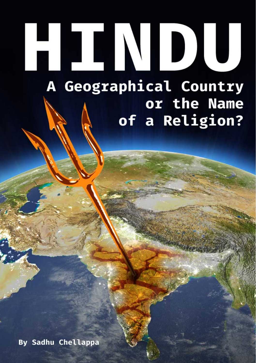# ETTNI 10) 1 A Geographical Country or the Name

of a Religion?

<span id="page-0-0"></span>By Sadhu Chellappa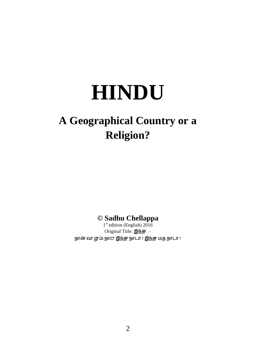# **HINDU**

## **A Geographical Country or a Religion?**

**© Sadhu Chellappa**

1st edition (English) 2016 Original Title:  $@b$ நான் வா ழும் நா $\mathbf c$  இந்து நாடா ? இந்து மத நாடா ?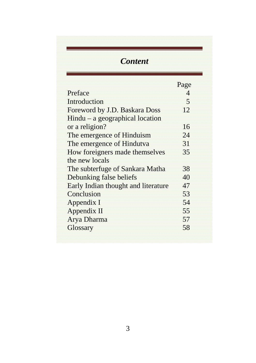## *Content*

|                                     | Page                     |
|-------------------------------------|--------------------------|
| Preface                             | $\boldsymbol{\varDelta}$ |
| Introduction                        | $\overline{\mathbf{5}}$  |
| Foreword by J.D. Baskara Doss       | 12                       |
| $Hindu - a geographical location$   |                          |
| or a religion?                      | 16                       |
| The emergence of Hinduism           | 24                       |
| The emergence of Hindutva           | 31                       |
| How foreigners made themselves      | 35                       |
| the new locals                      |                          |
| The subterfuge of Sankara Matha     | 38                       |
| Debunking false beliefs             | 40                       |
| Early Indian thought and literature | 47                       |
| Conclusion                          | 53                       |
| Appendix I                          | 54                       |
| Appendix II                         | 55                       |
| Arya Dharma                         | 57                       |
| Glossary                            | 58                       |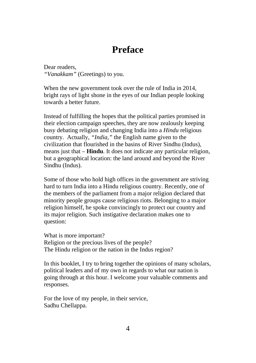## **Preface**

Dear readers, *"Vanakkam"* (Greetings) to you.

When the new government took over the rule of India in 2014, bright rays of light shone in the eyes of our Indian people looking towards a better future.

Instead of fulfilling the hopes that the political parties promised in their election campaign speeches, they are now zealously keeping busy debating religion and changing India into a *Hindu* religious country. Actually, *"India,"* the English name given to the civilization that flourished in the basins of River Sindhu (Indus), means just that – **Hindu**. It does not indicate any particular religion, but a geographical location: the land around and beyond the River Sindhu (Indus).

Some of those who hold high offices in the government are striving hard to turn India into a Hindu religious country. Recently, one of the members of the parliament from a major religion declared that minority people groups cause religious riots. Belonging to a major religion himself, he spoke convincingly to protect our country and its major religion. Such instigative declaration makes one to question:

What is more important? Religion or the precious lives of the people? The Hindu religion or the nation in the Indus region?

In this booklet, I try to bring together the opinions of many scholars, political leaders and of my own in regards to what our nation is going through at this hour. I welcome your valuable comments and responses.

For the love of my people, in their service, Sadhu Chellappa.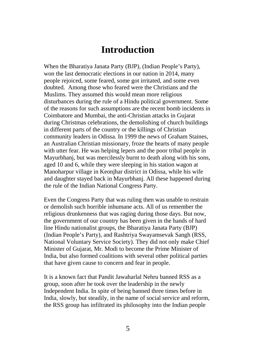## **Introduction**

When the Bharatiya Janata Party (BJP), (Indian People's Party), won the last democratic elections in our nation in 2014, many people rejoiced, some feared, some got irritated, and some even doubted. Among those who feared were the Christians and the Muslims. They assumed this would mean more religious disturbances during the rule of a Hindu political government. Some of the reasons for such assumptions are the recent bomb incidents in Coimbatore and Mumbai, the anti-Christian attacks in Gujarat during Christmas celebrations, the demolishing of church buildings in different parts of the country or the killings of Christian community leaders in Odissa. In 1999 the news of Graham Staines, an Australian Christian missionary, froze the hearts of many people with utter fear. He was helping lepers and the poor tribal people in Mayurbhanj, but was mercilessly burnt to death along with his sons, aged 10 and 6, while they were sleeping in his station wagon at Manoharpur village in Keonjhar district in Odissa, while his wife and daughter stayed back in Mayurbhanj. All these happened during the rule of the Indian National Congress Party.

Even the Congress Party that was ruling then was unable to restrain or demolish such horrible inhumane acts. All of us remember the religious drunkenness that was raging during those days. But now, the government of our country has been given in the hands of hard line Hindu nationalist groups, the Bharatiya Janata Party (BJP) (Indian People's Party), and Rashtriya Swayamsevak Sangh (RSS, National Voluntary Service Society). They did not only make Chief Minister of Gujarat, Mr. Modi to become the Prime Minister of India, but also formed coalitions with several other political parties that have given cause to concern and fear in people.

It is a known fact that Pandit Jawaharlal Nehru banned RSS as a group, soon after he took over the leadership in the newly Independent India. In spite of being banned three times before in India, slowly, but steadily, in the name of social service and reform, the RSS group has infiltrated its philosophy into the Indian people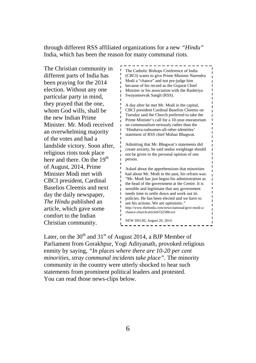through different RSS affiliated organizations for a new *"Hindu"* India, which has been the reason for many communal riots.

The Christian community in different parts of India has been praying for the 2014 election. Without any one particular party in mind, they prayed that the one, whom God wills, shall be the new Indian Prime Minister. Mr. Modi received an overwhelming majority of the votes and had a landslide victory. Soon after, religious riots took place here and there. On the 19<sup>th</sup> of August, 2014, Prime Minister Modi met with CBCI president, Cardinal Baselios Cleemis and next day the daily newspaper, *The Hindu* published an article, which gave some comfort to the Indian Christian community.

The Catholic Bishops Conference of India (CBCI) wants to give Prime Minister Narendra Modi a "chance" and not pre-judge him because of his record as the Gujarat Chief Minister or his association with the Rashtriya Swayamsevak Sangh (RSS).

A day after he met Mr. Modi in the capital, CBCI president Cardinal Baselios Cleemis on Tuesday said the Church preferred to take the Prime Minister's call for a 10-year-moratorium on communalism seriously rather than the 'Hindutva-subsumes-all-other-identities' statement of RSS chief Mohan Bhagwat.

Admitting that Mr. Bhagwat's statements did create anxiety, he said undue weightage should not be given to the personal opinion of one person.

Asked about the apprehensions that minorities had about Mr. Modi in the past, his refrain was: "Mr. Modi has just begun his administration as the head of the government at the Centre. It is sensible and legitimate that any government needs time to settle down and work out its policies. He has been elected and we have to see his actions. We are optimistic." http://www.thehindu.com/news/national/give-modi-achance-church/article6332588.ece

NEW DELHI, August 20, 2014

Later, on the  $30<sup>th</sup>$  and  $31<sup>st</sup>$  of August 2014, a BJP Member of Parliament from Gorakhpur, Yogi Adityanath, provoked religious enmity by saying, *"In places where there are 10-20 per cent minorities, stray communal incidents take place".* The minority community in the country were utterly shocked to hear such statements from prominent political leaders and protested. You can read those news-clips below.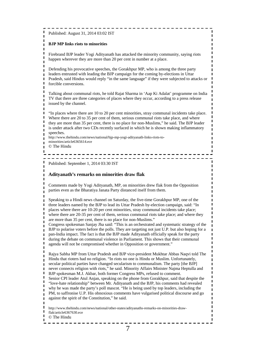Published: August 31, 2014 03:02 IST

#### **BJP MP links riots to minorities**

 $\blacksquare$  $\blacksquare$  $\blacksquare$ 

Firebrand BJP leader Yogi Adityanath has attacked the minority community, saying riots happen wherever they are more than 20 per cent in number at a place.

Defending his provocative speeches, the Gorakhpur MP, who is among the three party leaders entrusted with leading the BJP campaign for the coming by-elections in Uttar Pradesh, said Hindus would reply "in the same language" if they were subjected to attacks or forcible conversions.

Talking about communal riots, he told Rajat Sharma in 'Aap Ki Adalat' programme on India TV that there are three categories of places where they occur, according to a press release issued by the channel.

"In places where there are 10 to 20 per cent minorities, stray communal incidents take place. Where there are 20 to 35 per cent of them, serious communal riots take place, and where they are more than 35 per cent, there is no place for non-Muslims," he said. The BJP leader is under attack after two CDs recently surfaced in which he is shown making inflammatory speeches.

- - - - - - - - - - - - - - - - - --------------------------------

http://www.thehindu.com/news/national/bjp-mp-yogi-adityanath-links-riots-to-

- minorities/article6365614 ece
- © The Hindu

 $\blacksquare$ 

 $\blacksquare$ 

 $\blacksquare$ 

 $\blacksquare$ 

 $\blacksquare$ 

Published: September 1, 2014 03:30 IST

#### **Adityanath's remarks on minorities draw flak**

Comments made by Yogi Adityanath, MP, on minorities drew flak from the Opposition parties even as the Bharatiya Janata Party distanced itself from them.

Speaking to a Hindi news channel on Saturday, the five-time Gorakhpur MP, one of the three leaders named by the BJP to lead its Uttar Pradesh by-election campaign, said: "In places where there are 10-20 per cent minorities, stray communal incidents take place; where there are 20-35 per cent of them, serious communal riots take place; and where they are more than 35 per cent, there is no place for non-Muslims."

Congress spokesman Sanjay Jha said: "This is an orchestrated and systematic strategy of the BJP to polarise voters before the polls. They are targeting not just U.P. but also hoping for a pan-India impact. The fact is that the BJP made Adityanath officially speak for the party during the debate on communal violence in Parliament. This shows that their communal agenda will not be compromised whether in Opposition or government."

Rajya Sabha MP from Uttar Pradesh and BJP vice-president Mukhtar Abbas Naqvi told The Hindu that rioters had no religion. "In riots no one is Hindu or Muslim. Unfortunately, secular political parties have changed secularism to communalism. The party [the BJP] never connects religion with riots," he said. Minority Affairs Minister Najma Heptulla and BJP spokesman M.J. Akbar, both former Congress MPs, refused to comment. Senior CPI leader Atul Anjan, speaking on the phone from Gorakhpur, said that despite the "love-hate relationship" between Mr. Adityanath and the BJP, his comments had revealed

why he was made the party's poll mascot. "He is being used by top leaders, including the PM, to saffronise U.P. His obnoxious comments have vulgarised political discourse and go against the spirit of the Constitution," he said.

http://www.thehindu.com/news/national/other-states/adityanaths-remarks-on-minorities-drawflak/article6367630.ece

© The Hindu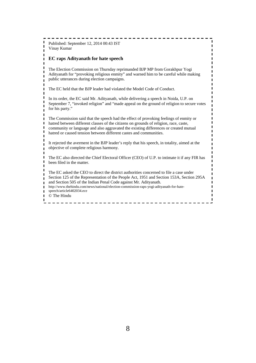-----------------------Published: September 12, 2014 00:43 IST  $\blacksquare$ Vinay Kumar **EC raps Adityanath for hate speech**  $\mathbf{I}$ The Election Commission on Thursday reprimanded BJP MP from Gorakhpur Yogi  $\blacksquare$ Adityanath for "provoking religious enmity" and warned him to be careful while making public utterances during election campaigns.  $\blacksquare$ The EC held that the BJP leader had violated the Model Code of Conduct.  $\blacksquare$  $\blacksquare$ In its order, the EC said Mr. Adityanath, while delivering a speech in Noida, U.P. on  $\blacksquare$ September 7, "invoked religion" and "made appeal on the ground of religion to secure votes  $\blacksquare$ for his party."  $\blacksquare$ The Commission said that the speech had the effect of provoking feelings of enmity or  $\blacksquare$  $\blacksquare$ hatred between different classes of the citizens on grounds of religion, race, caste, community or language and also aggravated the existing differences or created mutual hatred or caused tension between different castes and communities. It rejected the averment in the BJP leader's reply that his speech, in totality, aimed at the  $\blacksquare$ objective of complete religious harmony.  $\blacksquare$  $\blacksquare$ The EC also directed the Chief Electoral Officer (CEO) of U.P. to intimate it if any FIR has  $\blacksquare$ been filed in the matter.  $\blacksquare$ The EC asked the CEO to direct the district authorities concerned to file a case under  $\blacksquare$ Section 125 of the Representation of the People Act, 1951 and Section 153A, Section 295A  $\blacksquare$ and Section 505 of the Indian Penal Code against Mr. Adityanath.  $\mathbf{I}$ http://www.thehindu.com/news/national/election-commission-raps-yogi-adityanath-for-hate- $\blacksquare$ speech/article6402034.ece  $\blacksquare$ © The Hindu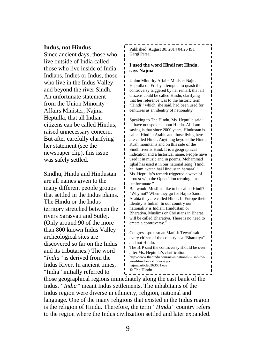#### **Indus, not Hindus**

Since ancient days, those who live outside of India called those who live inside of India Indians, Indies or Indus, those who live in the Indus Valley and beyond the river Sindh. An unfortunate statement from the Union Minority Affairs Minister, Najma Heptulla, that all Indian citizens can be called Hindus, raised unnecessary concern. But after carefully clarifying her statement (see the newspaper clip), this issue was safely settled.

Sindhu, Hindu and Hindustan are all names given to the many different people groups that settled in the Indus plains. The Hindu or the Indus territory stretched between the rivers Sarasvati and Sutlej. (Only around 90 of the more than 800 known Indus Valley archeological sites are discovered so far on the Indus and its tributaries.) The word "*India"* is derived from the Indus River. In ancient times, "India" initially referred to

Published: August 30, 2014 04:26 IST Gargi Parsai

#### **I used the word Hindi not Hindu, says Najma**

Union Minority Affairs Minister Najma Heptulla on Friday attempted to quash the controversy triggered by her remark that all citizens could be called Hindu, clarifying that her reference was to the historic term "Hindi'' which, she said, had been used for centuries as an identity of nationality.

Speaking to The Hindu, Ms. Heptulla said: "I have not spoken about Hindu. All I am saying is that since 2000 years, Hindustan is called Hind in Arabic and those living here are called Hindi. Anything beyond the Hindu Kush mountains and on this side of the Sindh river is Hind. It is a geographical indication and a historical name. People have used it in music and in poems. Mohammad Iqbal has used it in our national song [Hindi hai hum, watan hai Hindustan hamara]." Ms. Heptulla's remark triggered a wave of protest with the Opposition terming it as "unfortunate."

But would Muslims like to be called Hindi? "Why not? When they go for Haj to Saudi Arabia they are called Hindi. In Europe their identity is Indian. In our country our nationality is Indian, Hindustani or Bharatiya. Muslims or Christians in Bharat will be called Bharatiya. There is no need to create a controversy."

Congress spokesman Manish Tewari said every citizen of the country is a "Bharatiya" and not Hindu.

The BJP said the controversy should be over after Ms. Heptulla's clarification. http://www.thehindu.com/news/national/i-used-theword-hindi-not-hindu-saysnajma/article6363651.ece © The Hindu

those geographical regions immediately along the east bank of the Indus. *"India"* meant Indus settlements. The inhabitants of the Indus region were diverse in ethnicity, religion, national and language. One of the many religions that existed in the Indus region is the religion of Hindu. Therefore, the term *"Hindu"* country refers to the region where the Indus civilization settled and later expanded.

 $\blacksquare$ 

 $\blacksquare$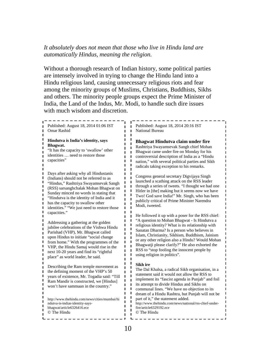*It absolutely does not mean that those who live in Hindu land are automatically Hindus, meaning the religion.*

Without a thorough research of Indian history, some political parties are intensely involved in trying to change the Hindu land into a Hindu religious land, causing unnecessary religious riots and fear among the minority groups of Muslims, Christians, Buddhists, Sikhs and others. The minority people groups expect the Prime Minister of India, the Land of the Indus, Mr. Modi, to handle such dire issues with much wisdom and discretion.

Published: August 18, 2014 01:06 IST Omar Rashid  $\blacksquare$ I. Ĭ. **Hindutva is India's identity, says**  I. **Bhagwat.** Ĺ "It has the capacity to 'swallow' other ı identities … need to restore those r.  $\mathbf{L}$ capacities' Ĺ I. Ĺ Days after asking why all Hindustanis  $\blacksquare$  $\blacksquare$ (Indians) should not be referred to as f, "Hindus," Rashtriya Swayamsevak Sangh  $\blacksquare$ (RSS) sarsanghchalak Mohan Bhagwat on Sunday minced no words in stating that Ĩ. "Hindutva is the identity of India and it  $\blacksquare$ has the capacity to swallow other п identities." "We just need to restore those Ĺ capacities." Ĺ ı I. Addressing a gathering at the golden Ĺ jubilee celebrations of the Vishwa Hindu  $\mathbf{I}$ Parishad (VHP), Mr. Bhagwat called upon Hindus to initiate "social change Ĺ from home." With the programmes of the VHP, the Hindu Samaj would rise in the Ĭ. next 10-20 years and find its "rightful  $\mathbf{I}$ п place" as world leader, he said. Ĭ.  $\mathbf{I}$ Describing the Ram temple movement as the defining moment of the VHP's 50  $\blacksquare$ years of existence, Mr. Togadia said: "Till  $\blacksquare$ Ram Mandir is constructed, we [Hindus] won't have sammaan in the country."  $\mathbf{I}$ J.  $\mathbf{I}$ http://www.thehindu.com/news/cities/mumbai/hi Ĺ  $\mathbf{L}$ ndutva-is-indias-identity-says- $\mathbf{I}$ bhagwat/article6326416.ece I.  $\blacksquare$ © The Hindu  $\mathbf{I}$ 

Published: August 18, 2014 20:16 IST National Bureau

#### **Bhagwat Hindutva claim under fire**

Rashtriya Swayamsevak Sangh chief Mohan Bhagwat came under fire on Monday for his controversial description of India as a "Hindu nation," with several political parties and Sikh radicals taking exception to his remarks.

Congress general secretary Digvijaya Singh launched a scathing attack on the RSS leader through a series of tweets. "I thought we had one Hitler in [the] making but it seems now we have Two! God save India!" Mr. Singh, who has been publicly critical of Prime Minister Narendra Modi, tweeted.

He followed it up with a poser for the RSS chief: "A question to Mohan Bhagwat - Is Hindutva a religious identity? What is its relationship with Sanatan Dharma? Is a person who believes in Islam, Christianity, Sikhism, Buddhism, Jainism or any other religion also a Hindu? Would Mohan Bhagwatji please clarify?" He also exhorted the RSS to "stop fooling the innocent people by using religion in politics".

#### **Sikh ire**

The Dal Khalsa, a radical Sikh organisation, in a statement said it would not allow the RSS to implement its "fascist agenda in Punjab" and foil its attempt to divide Hindus and Sikhs on communal lines. "We have no objection to its dream of a Hindu Rashtra, but Punjab will not be part of it," the statement added. http://www.thehindu.com/news/national/rss-chief-underfire/article6329192.ece © The Hindu

------------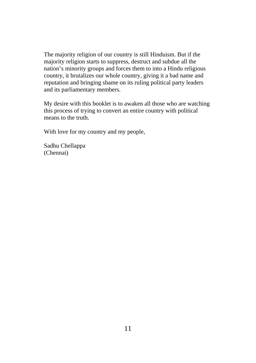The majority religion of our country is still Hinduism. But if the majority religion starts to suppress, destruct and subdue all the nation's minority groups and forces them to into a Hindu religious country, it brutalizes our whole country, giving it a bad name and reputation and bringing shame on its ruling political party leaders and its parliamentary members.

My desire with this booklet is to awaken all those who are watching this process of trying to convert an entire country with political means to the truth.

With love for my country and my people,

Sadhu Chellappa (Chennai)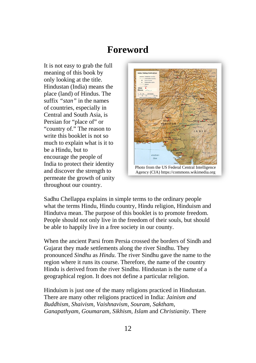## **Foreword**

It is not easy to grab the full meaning of this book by only looking at the title. Hindustan (India) means the place (land) of Hindus. The suffix *"stan"* in the names of countries, especially in Central and South Asia, is Persian for "place of" or "country of." The reason to write this booklet is not so much to explain what is it to be a Hindu, but to encourage the people of India to protect their identity and discover the strength to permeate the growth of unity throughout our country.



Sadhu Chellappa explains in simple terms to the ordinary people what the terms Hindu, Hindu country, Hindu religion, Hinduism and Hindutva mean. The purpose of this booklet is to promote freedom. People should not only live in the freedom of their souls, but should be able to happily live in a free society in our county.

When the ancient Parsi from Persia crossed the borders of Sindh and Gujarat they made settlements along the river Sindhu. They pronounced *Sindhu* as *Hindu.* The river Sindhu gave the name to the region where it runs its course. Therefore, the name of the country Hindu is derived from the river Sindhu. Hindustan is the name of a geographical region. It does not define a particular religion.

Hinduism is just one of the many religions practiced in Hindustan. There are many other religions practiced in India: *Jainism and Buddhism*, *Shaivism*, *Vaishnavism*, *Souram*, *Saktham*, *Ganapathyam*, *Goumaram, Sikhism*, *Islam* and *Christianity*. There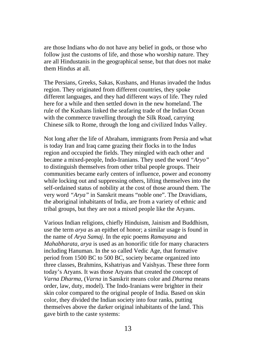are those Indians who do not have any belief in gods, or those who follow just the customs of life, and those who worship nature. They are all Hindustanis in the geographical sense, but that does not make them Hindus at all.

The Persians, Greeks, Sakas, Kushans, and Hunas invaded the Indus region. They originated from different countries, they spoke different languages, and they had different ways of life. They ruled here for a while and then settled down in the new homeland. The rule of the Kushans linked the seafaring trade of the Indian Ocean with the commerce travelling through the Silk Road, carrying Chinese silk to Rome, through the long and civilized Indus Valley.

Not long after the life of Abraham, immigrants from Persia and what is today Iran and Iraq came grazing their flocks in to the Indus region and occupied the fields. They mingled with each other and became a mixed-people, Indo-Iranians. They used the word *"Aryo"* to distinguish themselves from other tribal people groups. Their communities became early centers of influence, power and economy while locking out and suppressing others, lifting themselves into the self-ordained status of nobility at the cost of those around them. The very word *"Arya"* in Sanskrit means "noble one". The Dravidians, the aboriginal inhabitants of India, are from a variety of ethnic and tribal groups, but they are not a mixed people like the Aryans.

Various Indian religions, chiefly Hinduism, Jainism and Buddhism, use the term *arya* as an epithet of honor; a similar usage is found in the name of *Arya Samaj*. In the epic poems *Ramayana* and *Mahabharata*, *arya* is used as an honorific title for many characters including Hanuman. In the so called Vedic Age, that formative period from 1500 BC to 500 BC, society became organized into three classes, Brahmins, Kshatriyas and Vaishyas. These three form today's Aryans. It was those Aryans that created the concept of *Varna Dharma*, (*Varna* in Sanskrit means color and *Dharma* means order, law, duty, model). The Indo-Iranians were brighter in their skin color compared to the original people of India. Based on skin color, they divided the Indian society into four ranks, putting themselves above the darker original inhabitants of the land. This gave birth to the caste systems: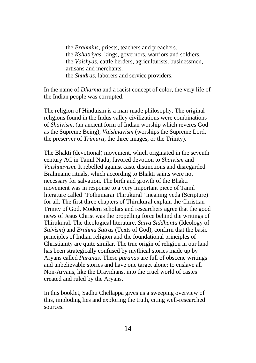the *Brahmins,* priests, teachers and preachers. the *Kshatriyas,* kings, governors, warriors and soldiers. the *Vaishyas,* cattle herders, agriculturists, businessmen, artisans and merchants. the *Shudras,* laborers and service providers.

In the name of *Dharma* and a racist concept of color, the very life of the Indian people was corrupted.

The religion of Hinduism is a man-made philosophy. The original religions found in the Indus valley civilizations were combinations of *Shaivism*, (an ancient form of Indian worship which reveres God as the Supreme Being), *Vaishnavism* (worships the Supreme Lord, the preserver of *Trimurti*, the three images, or the Trinity).

The Bhakti (devotional) movement, which originated in the seventh century AC in Tamil Nadu, favored devotion to *Shaivism* and *Vaishnavism*. It rebelled against caste distinctions and disregarded Brahmanic rituals, which according to Bhakti saints were not necessary for salvation. The birth and growth of the Bhakti movement was in response to a very important piece of Tamil literature called "Pothumarai Thirukural" meaning veda (Scripture) for all. The first three chapters of Thirukural explain the Christian Trinity of God. Modern scholars and researchers agree that the good news of Jesus Christ was the propelling force behind the writings of Thirukural. The theological literature, *Saiva Siddhanta* (Ideology of *Saivism*) and *Brahma Sutras* (Texts of God), confirm that the basic principles of Indian religion and the foundational principles of Christianity are quite similar. The true origin of religion in our land has been strategically confused by mythical stories made up by Aryans called *Puranas.* These *puranas* are full of obscene writings and unbelievable stories and have one target alone: to enslave all Non-Aryans, like the Dravidians, into the cruel world of castes created and ruled by the Aryans.

In this booklet, Sadhu Chellappa gives us a sweeping overview of this, imploding lies and exploring the truth, citing well-researched sources.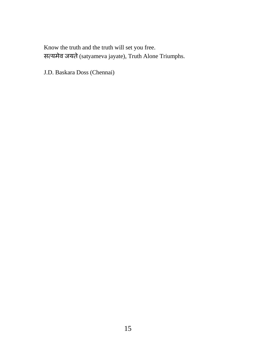Know the truth and the truth will set you free. सत्यमेव जयते (satyameva jayate), Truth Alone Triumphs.

J.D. Baskara Doss (Chennai)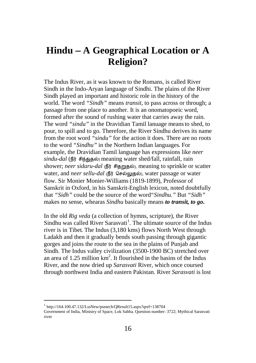## **Hindu** − **A Geographical Location or A Religion?**

The Indus River, as it was known to the Romans, is called River Sindh in the Indo-Aryan language of Sindhi. The plains of the River Sindh played an important and historic role in the history of the world. The word *"Sindh"* means *transit*, to pass across or through; a passage from one place to another. It is an onomatopoeic word, formed after the sound of rushing water that carries away the rain. The word *"sindu"* in the Dravidian Tamil lanuage means to shed, to pour, to spill and to go. Therefore, the River Sindhu derives its name from the root word *"sindu"* for the action it does. There are no roots to the word *"Sindhu"* in the Northern Indian languages. For example, the Dravidian Tamil language has expressions like *neer sindu-dal* (நீர் சிந்துதல்) meaning water shed/fall, rainfall, rain shower; *neer sidaru-dal* (நீர் சிதறுதல்), meaning to sprinkle or scatter water, and *neer sellu-dal* (நீர் செல்லுதல்), water passage or water flow. Sir Monier Monier-Williams (1819-1899), Professor of Sanskrit in Oxford, in his Sanskrit-English lexicon, noted doubtfully that *"Sidh"* could be the source of the word*"Sindhu."* But *"Sidh"* makes no sense, whearas *Sindhu* basically means *to transit, to go***.**

In the old *Rig veda* (a collection of hymns, scripture), the River Sindhu was called River Sarasvati<sup>[1](#page-0-0)</sup>. The ultimate source of the Indus river is in Tibet. The Indus (3,180 kms) flows North West through Ladakh and then it gradually bends south passing through gigantic gorges and joins the route to the sea in the plains of Punjab and Sindh. The Indus valley civilization (3500-1900 BC) stretched over an area of  $1.25$  million  $km^2$ . It flourished in the basins of the Indus River, and the now dried up *Sarasvati* River, which once coursed through northwest India and eastern Pakistan. River *Sarasvati* is lost

<span id="page-15-0"></span> $1$  http://164.100.47.132/LssNew/psearch/QResult15.aspx?qref=138704

Government of India, Ministry of Space, Lok Sabha. Question number: 3722; Mythical Sarasvati river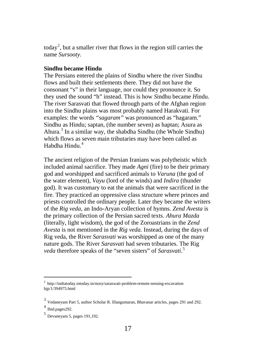today<sup>[2](#page-15-0)</sup>, but a smaller river that flows in the region still carries the name *Sursooty.*

#### **Sindhu became Hindu**

The Persians entered the plains of Sindhu where the river Sindhu flows and built their settlements there. They did not have the consonant "s" in their language, nor could they pronounce it. So they used the sound "h" instead. This is how *S*indhu became *H*indu. The river Sarasvati that flowed through parts of the Afghan region into the Sindhu plains was most probably named Harakvati. For examples: the words *"sagaram"* was pronounced as "hagaram." Sindhu as Hindu; saptan, (the number seven) as haptan; Asura as Ahura.[3](#page-16-0) In a similar way, the shabdha Sindhu (the Whole Sindhu) which flows as seven main tributaries may have been called as Habdha Hindu<sup>[4](#page-16-0)</sup>

The ancient religion of the Persian Iranians was polytheistic which included animal sacrifice. They made *Agni* (fire) to be their primary god and worshipped and sacrificed animals to *Varuna* (the god of the water element), *Vayu* (lord of the winds) and *Indira* (thunder god). It was customary to eat the animals that were sacrificed in the fire. They practiced an oppressive class structure where princes and priests controlled the ordinary people. Later they became the writers of the *Rig veda,* an Indo-Aryan collection of hymns. *Zend Avesta* is the primary collection of the Persian sacred texts. *Ahura Mazda* (literally, light wisdom), the god of the Zoroastrians in the *Zend Avesta* is not mentioned in the *Rig veda.* Instead, during the days of Rig veda, the River *Sarasvati* was worshipped as one of the many nature gods. The River *Sarasvati* had seven tributaries. The Rig *veda* therefore speaks of the "seven sisters" of *Sarasvati*. [5](#page-16-0)

<span id="page-16-1"></span><span id="page-16-0"></span> $^{2}$  http://indiatoday.intoday.in/story/saraswati-problem-remote-sensing-excavation bjp/1/394975.html

<sup>3</sup> Vedaneyam Part 5, author Scholar R. Illangumaran, Bhavanar articles, pages 291 and 292.

Ibid.pages292

<sup>5</sup> Devaneyam 5, pages 191,192.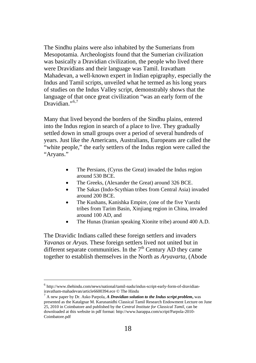The Sindhu plains were also inhabited by the Sumerians from Mesopotamia. Archeologists found that the Sumerian civilization was basically a Dravidian civilization, the people who lived there were Dravidians and their language was Tamil. Iravatham Mahadevan, a well-known expert in Indian epigraphy, especially the Indus and Tamil scripts, unveiled what he termed as his long years of studies on the Indus Valley script, demonstrably shows that the language of that once great civilization "was an early form of the Dravidian $^{1,6,7}$  $^{1,6,7}$  $^{1,6,7}$  $^{1,6,7}$ 

Many that lived beyond the borders of the Sindhu plains, entered into the Indus region in search of a place to live. They gradually settled down in small groups over a period of several hundreds of years. Just like the Americans, Australians, Europeans are called the "white people," the early settlers of the Indus region were called the "Aryans."

- The Persians, (Cyrus the Great) invaded the Indus region around 530 BCE.
- The Greeks, (Alexander the Great) around 326 BCE.
- The Sakas (Indo-Scythian tribes from Central Asia) invaded around 200 BCE.
- The Kushans, Kanishka Empire, (one of the five Yuezhi tribes from Tarim Basin, Xinjiang region in China, invaded around 100 AD, and
- The Hunas (Iranian speaking Xionite tribe) around 400 A.D.

The Dravidic Indians called these foreign settlers and invaders *Yavanas* or *Aryas.* These foreign settlers lived not united but in different separate communities. In the  $7<sup>th</sup>$  Century AD they came together to establish themselves in the North as *Aryavarta,* (Abode

<span id="page-17-1"></span><span id="page-17-0"></span> <sup>6</sup> http://www.thehindu.com/news/national/tamil-nadu/indus-script-early-form-of-dravidianiravatham-mahadevan/article6600394.ece © The Hindu

<sup>7</sup> A new paper by Dr. Asko Parpola, *A Dravidian solution to the Indus script problem***,** was presented as the Katalgnar M. Karunanidhi Classical Tamil Research Endowment Lecture on June 25, 2010 in Coimbatore and published by the *Central Institute for Classical Tamil,* can be downloaded at this website in pdf format: http://www.harappa.com/script/Parpola-2010- Coimbatore.pdf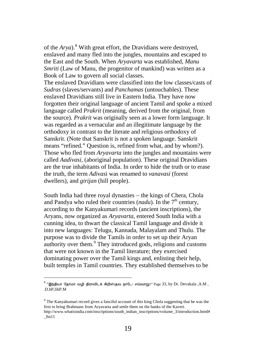of the *Arya*).[8](#page-17-1) With great effort, the Dravidians were destroyed, enslaved and many fled into the jungles, mountains and escaped to the East and the South. When *Aryavarta* was established, *Manu Smriti* (Law of Manu, the progenitor of mankind) was written as a Book of Law to govern all social classes.

The enslaved Dravidians were classified into the low classes/casts of *Sudras* (slaves/servants) and *Panchamas* (untouchables). These enslaved Dravidians still live in Eastern India. They have now forgotten their original language of ancient Tamil and spoke a mixed language called *Prakrit* (meaning, derived from the original, from the source)*. Prakrit* was originally seen as a lower form language. It was regarded as a vernacular and an illegitimate language by the orthodoxy in contrast to the literate and religious orthodoxy of Sanskrit. (Note that Sanskrit is not a spoken language. Sanskrit means "refined." Question is, refined from what, and by whom?). Those who fled from *Aryavarta* into the jungles and mountains were called *Aadivasi*, (aboriginal population). These original Dravidians are the true inhabitants of India. In order to hide the truth or to erase the truth, the term *Adivas*i was renamed to *vanavasi* (forest dwellers), and *girijan* (hill people).

South India had three royal dynasties − the kings of Chera, Chola and Pandya who ruled their countries  $(nadu)$ . In the  $7<sup>th</sup>$  century, according to the Kanyakumari records (ancient inscriptions), the Aryans, now organized as *Aryavarta*, entered South India with a cunning idea, to thwart the classical Tamil language and divide it into new languages: Telugu, Kannada, Malayalam and Thulu. The purpose was to divide the Tamils in order to set up their Aryan authority over them. [9](#page-18-0) They introduced gods, religions and customs that were not known in the Tamil literature; they exercised dominating power over the Tamil kings and, enlisting their help, built temples in Tamil countries. They established themselves to be

<span id="page-18-0"></span> $^8$  "இந்தியா தோமா வழி திராவிடக் கிறிஸ்தவ நாடே! எவ்வாறு?" Page 33, by Dr. Devakala ,A.M , .D.hP,lihP.M

<sup>&</sup>lt;sup>9</sup> The Kanyakumari record gives a fanciful account of this king Chola suggesting that he was the first to bring Brahmans from Aryavarta and settle them on the banks of the Kaveri.

<span id="page-18-1"></span>http://www.whatisindia.com/inscriptions/south\_indian\_inscriptions/volume\_3/introduction.html#  $-ftn11$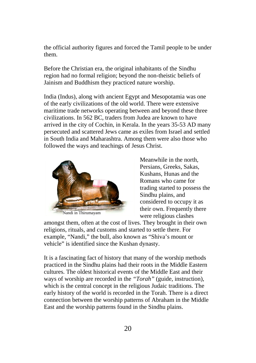the official authority figures and forced the Tamil people to be under them.

Before the Christian era, the original inhabitants of the Sindhu region had no formal religion; beyond the non-theistic beliefs of Jainism and Buddhism they practiced nature worship.

India (Indus), along with ancient Egypt and Mesopotamia was one of the early civilizations of the old world. There were extensive maritime trade networks operating between and beyond these three civilizations. In 562 BC, traders from Judea are known to have arrived in the city of Cochin, in Kerala. In the years 35-53 AD many persecuted and scattered Jews came as exiles from Israel and settled in South India and Maharashtra. Among them were also those who followed the ways and teachings of Jesus Christ.



Meanwhile in the north, Persians, Greeks, Sakas, Kushans, Hunas and the Romans who came for trading started to possess the Sindhu plains, and considered to occupy it as their own. Frequently there were religious clashes

amongst them, often at the cost of lives. They brought in their own religions, rituals, and customs and started to settle there. For example, "Nandi," the bull, also known as "Shiva's mount or vehicle" is identified since the Kushan dynasty.

It is a fascinating fact of history that many of the worship methods practiced in the Sindhu plains had their roots in the Middle Eastern cultures. The oldest historical events of the Middle East and their ways of worship are recorded in the *"Torah"* (guide, instruction), which is the central concept in the religious Judaic traditions. The early history of the world is recorded in the Torah. There is a direct connection between the worship patterns of Abraham in the Middle East and the worship patterns found in the Sindhu plains.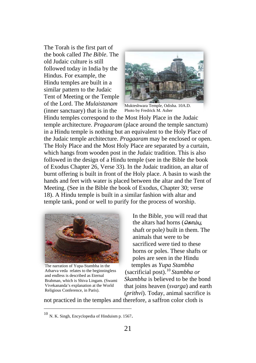The Torah is the first part of the book called *The Bible*. The old Judaic culture is still followed today in India by the Hindus. For example, the Hindu temples are built in a similar pattern to the Judaic Tent of Meeting or the Temple of the Lord. The *Mulaistanam* (inner sanctuary) that is in the



Mukteshwara Temple, Odisha. 10A.D. Photo by Fredrick M. Asher

Hindu temples correspond to the Most Holy Place in the Judaic temple architecture. *Pragaaram* (place around the temple sanctum) in a Hindu temple is nothing but an equivalent to the Holy Place of the Judaic temple architecture. *Pragaaram* may be enclosed or open. The Holy Place and the Most Holy Place are separated by a curtain, which hangs from wooden post in the Judaic tradition. This is also followed in the design of a Hindu temple (see in the Bible the book of Exodus Chapter 26, Verse 33). In the Judaic tradition, an altar of burnt offering is built in front of the Holy place. A basin to wash the hands and feet with water is placed between the altar and the Tent of Meeting. (See in the Bible the book of Exodus, Chapter 30; verse 18). A Hindu temple is built in a similar fashion with altar and temple tank, pond or well to purify for the process of worship.



The narration of Yupa-Stambha in the Atharva veda relates to the beginningless and endless is described as Eternal Brahman, which is Shiva Lingam. (Swami Vivekananda's explanation at the World Religious Conference, in Paris).

In the Bible, you will read that the altars had horns ( $\sqrt{G\pi\mu}$ , shaft or pole*)* built in them. The animals that were to be sacrificed were tied to these horns or poles. These shafts or poles are seen in the Hindu temples as *Yupa Stambha* (sacrificial post). [10](#page-18-1) *Stambha or Skambha* is believed to be the bond that joins heaven (*svarga*) and earth (*prithvi*). Today, animal sacrifice is

not practiced in the temples and therefore, a saffron color cloth is

<span id="page-20-0"></span> <sup>10</sup> N. K. Singh, Encyclopedia of Hinduism p. 1567.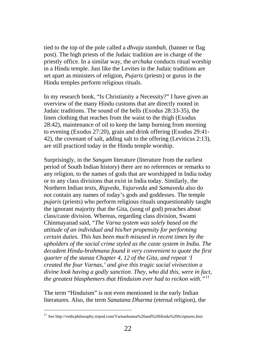tied to the top of the pole called a *dhvaja stambah*, (banner or flag post). The high priests of the Judaic tradition are in charge of the priestly office. In a similar way, the *archaka* conducts ritual worship in a Hindu temple. Just like the Levites in the Judaic traditions are set apart as ministers of religion, *Pujaris* (priests) or gurus in the Hindu temples perform religious rituals.

In my research book, "Is Christianity a Necessity?" I have given an overview of the many Hindu customs that are directly rooted in Judaic traditions. The sound of the bells (Exodus 28:33-35), the linen clothing that reaches from the waist to the thigh (Exodus 28:42), maintenance of oil to keep the lamp burning from morning to evening (Exodus 27:20), grain and drink offering (Exodus 29:41- 42), the covenant of salt, adding salt to the offering (Leviticus 2:13), are still practiced today in the Hindu temple worship.

Surprisingly, in the *Sangam* literature (literature from the earliest period of South Indian history) there are no references or remarks to any religion, to the names of gods that are worshipped in India today or to any class divisions that exist in India today. Similarly, the Northern Indian texts, *Rigveda*, *Yajurveda* and *Samaveda* also do not contain any names of today's gods and goddesses. The temple *pujaris* (priests) who perform religious rituals unquestionably taught the ignorant majority that the Gita, (song of god) preaches about class/caste division. Whereas, regarding class division, Swami Chinmayanad said, "*The Varna system was solely based on the attitude of an individual and his/her propensity for performing certain duties. This has been much misused in recent times by the upholders of the social crime styled as the caste system in India. The decadent Hindu-brahmana found it very convenient to quote the first quarter of the stanza Chapter 4, 12 of the Gita, and repeat 'I created the four Varnas,' and give this tragic social vivisection a divine look having a godly sanction. They, who did this, were in fact, the greatest blasphemers that Hinduism ever had to reckon with."*[11](#page-20-0)

<span id="page-21-0"></span>The term "Hinduism" is not even mentioned in the early Indian literatures. Also, the term *Sanatana Dharma* (eternal religion), the

<sup>&</sup>lt;sup>11</sup> See http://vedicphilosophy.tripod.com/Varnashrama%20and%20Hindu%20Scriptures.htm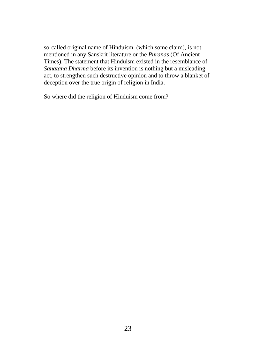so-called original name of Hinduism, (which some claim), is not mentioned in any Sanskrit literature or the *Puranas* (Of Ancient Times). The statement that Hinduism existed in the resemblance of *Sanatana Dharma* before its invention is nothing but a misleading act, to strengthen such destructive opinion and to throw a blanket of deception over the true origin of religion in India.

So where did the religion of Hinduism come from?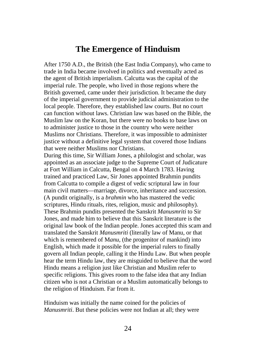## **The Emergence of Hinduism**

After 1750 A.D., the British (the East India Company), who came to trade in India became involved in politics and eventually acted as the agent of British imperialism. Calcutta was the capital of the imperial rule. The people, who lived in those regions where the British governed, came under their jurisdiction. It became the duty of the imperial government to provide judicial administration to the local people. Therefore, they established law courts. But no court can function without laws. Christian law was based on the Bible, the Muslim law on the Koran, but there were no books to base laws on to administer justice to those in the country who were neither Muslims nor Christians. Therefore, it was impossible to administer justice without a definitive legal system that covered those Indians that were neither Muslims nor Christians.

During this time, Sir William Jones, a philologist and scholar, was appointed as an associate judge to the Supreme Court of Judicature at Fort William in Calcutta, Bengal on 4 March 1783. Having trained and practiced Law, Sir Jones appointed Brahmin pundits from Calcutta to compile a digest of vedic scriptural law in four main civil matters—marriage, divorce, inheritance and succession. (A pundit originally, is a *brahmin* who has mastered the vedic scriptures, Hindu rituals, rites, religion, music and philosophy). These Brahmin pundits presented the Sanskrit *Manusmriti* to Sir Jones, and made him to believe that this Sanskrit literature is the original law book of the Indian people. Jones accepted this scam and translated the Sanskrit *Manusmriti* (literally law of Manu, or that which is remembered of M*anu,* (the progenitor of mankind) into English, which made it possible for the imperial rulers to finally govern all Indian people, calling it the Hindu Law. But when people hear the term Hindu law, they are misguided to believe that the word Hindu means a religion just like Christian and Muslim refer to specific religions. This gives room to the false idea that any Indian citizen who is not a Christian or a Muslim automatically belongs to the religion of Hinduism. Far from it.

Hinduism was initially the name coined for the policies of *Manusmriti*. But these policies were not Indian at all; they were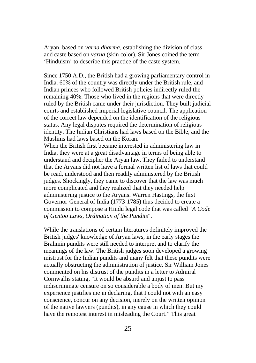Aryan, based on *varna dharma*, establishing the division of class and caste based on *varna* (skin color). Sir Jones coined the term 'Hinduism' to describe this practice of the caste system.

Since 1750 A.D., the British had a growing parliamentary control in India. 60% of the country was directly under the British rule, and Indian princes who followed British policies indirectly ruled the remaining 40%. Those who lived in the regions that were directly ruled by the British came under their jurisdiction. They built judicial courts and established imperial legislative council. The application of the correct law depended on the identification of the religious status. Any legal disputes required the determination of religious identity. The Indian Christians had laws based on the Bible, and the Muslims had laws based on the Koran.

When the British first became interested in administering law in India, they were at a great disadvantage in terms of being able to understand and decipher the Aryan law. They failed to understand that the Aryans did not have a formal written list of laws that could be read, understood and then readily administered by the British judges. Shockingly, they came to discover that the law was much more complicated and they realized that they needed help administering justice to the Aryans. Warren Hastings, the first Governor-General of India (1773-1785) thus decided to create a commission to compose a Hindu legal code that was called "*A Code of Gentoo Laws, Ordination of the Pundits*".

While the translations of certain literatures definitely improved the British judges' knowledge of Aryan laws, in the early stages the Brahmin pundits were still needed to interpret and to clarify the meanings of the law. The British judges soon developed a growing mistrust for the Indian pundits and many felt that these pundits were actually obstructing the administration of justice. Sir William Jones commented on his distrust of the pundits in a letter to Admiral Cornwallis stating, "It would be absurd and unjust to pass indiscriminate censure on so considerable a body of men. But my experience justifies me in declaring, that I could not with an easy conscience, concur on any decision, merely on the written opinion of the native lawyers (pundits), in any cause in which they could have the remotest interest in misleading the Court." This great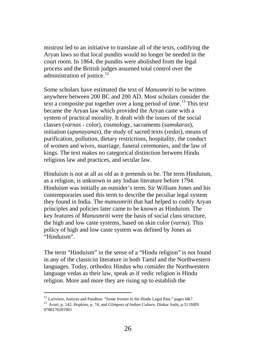mistrust led to an initiative to translate all of the texts, codifying the Aryan laws so that local pundits would no longer be needed in the court room. In 1864, the pundits were abolished from the legal process and the British judges assumed total control over the administration of justice.<sup>[12](#page-21-0)</sup>

Some scholars have estimated the text of *Manusmriti* to be written anywhere between 200 BC and 200 AD. Most scholars consider the text a composite put together over a long period of time.<sup>[13](#page-25-0)</sup> This text became the Aryan law which provided the Aryan caste with a system of practical morality. It dealt with the issues of the social classes (*varnas* - color), cosmology, sacraments (*samskaras*), initiation (*upanayanas*), the study of sacred texts (*vedas*), means of purification, pollution, dietary restrictions, hospitality, the conduct of women and wives, marriage, funeral ceremonies, and the law of kings. The text makes no categorical distinction between Hindu religious law and practices, and secular law.

Hinduism is not at all as old as it pretends to be. The term Hinduism, as a religion, is unknown in any Indian literature before 1794. Hinduism was initially an outsider's term. Sir William Jones and his contemporaries used this term to describe the peculiar legal system they found in India. The *manusmriti* that had helped to codify Aryan principles and policies later came to be known as Hinduism. The key features of *Manusmriti* were the basis of social class structure, the high and low caste systems, based on skin color (*varna*). This policy of high and low caste system was defined by Jones as "Hinduism".

The term "Hinduism" in the sense of a "Hindu religion" is not found in any of the classicist literature in both Tamil and the Northwestern languages. Today, orthodox Hindus who consider the Northwestern language vedas as their law, speak as if vedic religion is Hindu religion. More and more they are rising up to establish the

<sup>&</sup>lt;sup>12</sup> Lariviere, Justices and Panditas: "Some Ironies in the Hindu Legal Past," pages 6&7.

<span id="page-25-1"></span><span id="page-25-0"></span><sup>13</sup> Avari, p. 142; Hopkins, p. 74; and *Glimpses of Indian Culture*, Dinkar Joshi, p.51 ISBN 9788176501903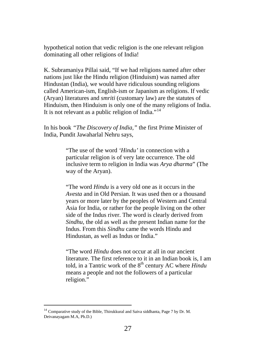hypothetical notion that vedic religion is the one relevant religion dominating all other religions of India!

K. Subramaniya Pillai said, "If we had religions named after other nations just like the Hindu religion (Hinduism) was named after Hindustan (India), we would have ridiculous sounding religions called American-ism, English-ism or Japanism as religions. If vedic (Aryan) literatures and *smriti* (customary law) are the statutes of Hinduism, then Hinduism is only one of the many religions of India. It is not relevant as a public religion of India."<sup>[14](#page-25-1)</sup>

In his book *"The Discovery of India,"* the first Prime Minister of India, Pundit Jawaharlal Nehru says,

> "The use of the word *'Hindu'* in connection with a particular religion is of very late occurrence. The old inclusive term to religion in India was *Arya dharma*" (The way of the Aryan).

"The word *Hindu* is a very old one as it occurs in the *Avesta* and in Old Persian. It was used then or a thousand years or more later by the peoples of Western and Central Asia for India, or rather for the people living on the other side of the Indus river. The word is clearly derived from *Sindhu*, the old as well as the present Indian name for the Indus. From this *Sindhu* came the words Hindu and Hindustan, as well as Indus or India."

"The word *Hindu* does not occur at all in our ancient literature. The first reference to it in an Indian book is, I am told, in a Tantric work of the 8<sup>th</sup> century AC where *Hindu* means a people and not the followers of a particular religion."

<span id="page-26-0"></span> $14$  Comparative study of the Bible, Thirukkural and Saiva siddhanta, Page 7 by Dr. M. Deivanayagam M.A, Ph.D.)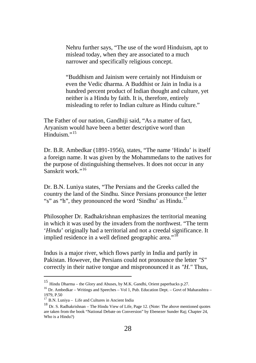Nehru further says, "The use of the word Hinduism, apt to mislead today, when they are associated to a much narrower and specifically religious concept.

"Buddhism and Jainism were certainly not Hinduism or even the Vedic dharma. A Buddhist or Jain in India is a hundred percent product of Indian thought and culture, yet neither is a Hindu by faith. It is, therefore, entirely misleading to refer to Indian culture as Hindu culture."

The Father of our nation, Gandhiji said, "As a matter of fact, Aryanism would have been a better descriptive word than Hinduism<sup>"[15](#page-26-0)</sup>

Dr. B.R. Ambedkar (1891-1956), states, "The name 'Hindu' is itself a foreign name. It was given by the Mohammedans to the natives for the purpose of distinguishing themselves. It does not occur in any Sanskrit work."<sup>[16](#page-27-0)</sup>

Dr. B.N. Luniya states, "The Persians and the Greeks called the country the land of the Sindhu. Since Persians pronounce the letter "s" as "h", they pronounced the word 'Sindhu' as Hindu.<sup>[17](#page-27-0)</sup>

Philosopher Dr. Radhakrishnan emphasizes the territorial meaning in which it was used by the invaders from the northwest. "The term '*Hindu*' originally had a territorial and not a creedal significance. It implied residence in a well defined geographic area."<sup>[18](#page-27-0)</sup>

Indus is a major river, which flows partly in India and partly in Pakistan. However, the Persians could not pronounce the letter *"S"* correctly in their native tongue and mispronounced it as *"H."* Thus,

 <sup>15</sup> Hindu Dharma – the Glory and Abuses, by M.K. Gandhi, Orient paperbacks p.27.

<span id="page-27-0"></span><sup>&</sup>lt;sup>16</sup> Dr. Ambedkar – Writings and Speeches – Vol 1, Pub. Education Dept. – Govt of Maharashtra – 1979, P.50<br><sup>17</sup> B.N. Luniva – Life and Cultures in Ancient India

<span id="page-27-1"></span><sup>&</sup>lt;sup>18</sup> Dr. S. Radhakrishnan – The Hindu View of Life, Page 12. (Note: The above mentioned quotes are taken from the book "National Debate on Conversion" by Ebenezer Sunder Raj; Chapter 24, Who is a Hindu?)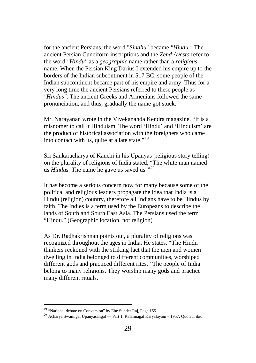for the ancient Persians, the word "*Sindhu*" became *"Hindu."* The ancient Persian Cuneiform inscriptions and the *Zend Avesta* refer to the word *"Hindu"* as a *geographic* name rather than a *religious* name. When the Persian King Darius I extended his empire up to the borders of the Indian subcontinent in 517 BC, some people of the Indian subcontinent became part of his empire and army. Thus for a very long time the ancient Persians referred to these people as *"Hindus"*. The ancient Greeks and Armenians followed the same pronunciation, and thus, gradually the name got stuck.

Mr. Narayanan wrote in the Vivekananda Kendra magazine, "It is a misnomer to call it Hinduism. The word 'Hindu' and 'Hinduism' are the product of historical association with the foreigners who came into contact with us, quite at a late state."[19](#page-27-1)

Sri Sankaracharya of Kanchi in his Upanyas (religious story telling) on the plurality of religions of India stated, "The white man named us *Hindus.* The name he gave us saved us.*"[20](#page-28-0)*

It has become a serious concern now for many because some of the political and religious leaders propagate the idea that India is a Hindu (religion) country, therefore all Indians have to be Hindus by faith. The Indies is a term used by the Europeans to describe the lands of South and South East Asia. The Persians used the term "Hindu." (Geographic location, not religion)

As Dr. Radhakrishnan points out, a plurality of religions was recognized throughout the ages in India. He states, "The Hindu thinkers reckoned with the striking fact that the men and women dwelling in India belonged to different communities, worshiped different gods and practiced different rites." The people of India belong to many religions. They worship many gods and practice many different rituals.

<span id="page-28-1"></span><span id="page-28-0"></span><sup>&</sup>lt;sup>19</sup> "National debate on Conversion" by Ebe Sunder Raj, Page 155.

<sup>&</sup>lt;sup>20</sup> Acharya Swamigal Upanyasangal — Part 1, Kalaimagal Karyalayam – 1957, Quoted, ibid.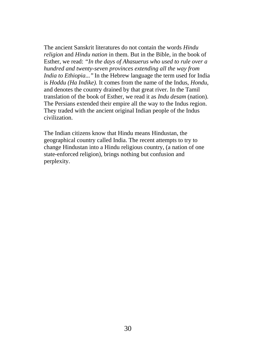The ancient Sanskrit literatures do not contain the words *Hindu religion* and *Hindu nation* in them. But in the Bible, in the book of Esther, we read: *"In the days of Ahasuerus who used to rule over a hundred and twenty-seven provinces extending all the way from India to Ethiopia..."* In the Hebrew language the term used for India is *Hoddu (Ha Indike).* It comes from the name of the Indus, *Hondu*, and denotes the country drained by that great river. In the Tamil translation of the book of Esther, we read it as *Indu desam* (nation). The Persians extended their empire all the way to the Indus region. They traded with the ancient original Indian people of the Indus civilization.

The Indian citizens know that Hindu means Hindustan, the geographical country called India. The recent attempts to try to change Hindustan into a Hindu religious country, (a nation of one state-enforced religion), brings nothing but confusion and perplexity.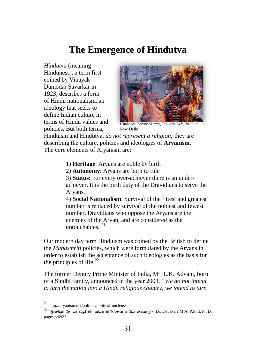## **The Emergence of Hindutva**

*Hindutva* (meaning Hinduness), a term first coined by Vinayak Damodar Savarkar in 1923, describes a form of Hindu nationalism, an ideology that seeks to define Indian culture in terms of Hindu values and policies. But both terms,



Hindutva Terror March, January 24<sup>th</sup>, 2013 in New Delhi

Hinduism and Hindutva, *do not represent a religion;* they are describing the culture, policies and ideologies of **Aryanism.** The core elements of Aryanism are:

1) **Heritage**: Aryans are noble by birth

2) **Autonomy**: Aryans are born to rule

3) **Status**: For every over-achiever there is an underachiever. It is the birth duty of the Dravidians to serve the Aryans.

4) **Social Nationalism**: Survival of the fittest and greatest number is replaced by survival of the noblest and fewest number. Dravidians who oppose the Aryans are the enemies of the Aryan, and are considered as the untouchables $^{21}$  $^{21}$  $^{21}$ 

Our modern day term Hinduism was coined by the British to define the *Manusmriti* policies, which were formulated by the Aryans in order to establish the acceptance of such ideologies as the basis for the principles of life. $^{22}$  $^{22}$  $^{22}$ 

The former Deputy Prime Minister of India, Mr. L.K. Advani, born of a Sindhi family, announced in the year 2003, *"We do not intend to turn the nation into a Hindu religious country, we intend to turn*

<span id="page-30-0"></span> <sup>21</sup> http://aryanism.net/politics/political-nucleus/

<span id="page-30-1"></span> $^{22}$  "இந்தியா கோமா வழி திராவிடக் கிறிஸ்தவ நாடே! எவ்வாறு?" Dr. Devakala M.A, P.Phil, Ph.D, pages 34&35.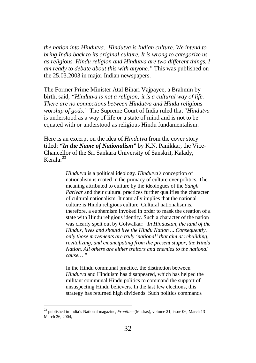*the nation into Hindutva. Hindutva is Indian culture. We intend to bring India back to its original culture. It is wrong to categorize us as religious. Hindu religion and Hindutva are two different things. I am ready to debate about this with anyone."* This was published on the 25.03.2003 in major Indian newspapers.

The Former Prime Minister Atal Bihari Vajpayee, a Brahmin by birth, said, *"Hindutva is not a religion; it is a cultural way of life. There are no connections between Hindutva and Hindu religious worship of gods."* The Supreme Court of India ruled that "*Hindutva* is understood as a way of life or a state of mind and is not to be equated with or understood as religious Hindu fundamentalism.

Here is an excerpt on the idea of *Hindutva* from the cover story titled: *"In the Name of Nationalism"* by K.N. Panikkar, the Vice-Chancellor of the Sri Sankara University of Sanskrit, Kalady, Kerala: [23](#page-30-1)

> *Hindutva* is a political ideology. *Hindutva's* conception of nationalism is rooted in the primacy of culture over politics. The meaning attributed to culture by the ideologues of the *Sangh Parivar* and their cultural practices further qualifies the character of cultural nationalism. It naturally implies that the national culture is Hindu religious culture. Cultural nationalism is, therefore, a euphemism invoked in order to mask the creation of a state with Hindu religious identity. Such a character of the nation was clearly spelt out by Golwalkar: *"In Hindustan, the land of the Hindus, lives and should live the Hindu Nation ... Consequently, only those movements are truly 'national' that aim at rebuilding, revitalizing, and emancipating from the present stupor, the Hindu Nation. All others are either traitors and enemies to the national cause… "*

In the Hindu communal practice, the distinction between *Hindutva* and Hinduism has disappeared, which has helped the militant communal Hindu politics to command the support of unsuspecting Hindu believers. In the last few elections, this strategy has returned high dividends. Such politics commands

<span id="page-31-0"></span> <sup>23</sup> published in India's National magazine, *Frontline* (Madras), volume 21, issue 06, March 13- March 26, 2004,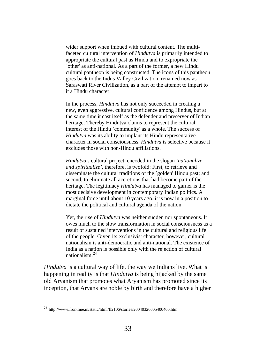wider support when imbued with cultural content. The multifaceted cultural intervention of *Hindutva* is primarily intended to appropriate the cultural past as Hindu and to expropriate the `other' as anti-national. As a part of the former, a new Hindu cultural pantheon is being constructed. The icons of this pantheon goes back to the Indus Valley Civilization, renamed now as Saraswati River Civilization, as a part of the attempt to impart to it a Hindu character.

In the process, *Hindutva* has not only succeeded in creating a new, even aggressive, cultural confidence among Hindus, but at the same time it cast itself as the defender and preserver of Indian heritage. Thereby Hindutva claims to represent the cultural interest of the Hindu `community' as a whole. The success of *Hindutva* was its ability to implant its Hindu representative character in social consciousness. *Hindutva* is selective because it excludes those with non-Hindu affiliations.

*Hindutva's* cultural project, encoded in the slogan *'nationalize and spiritualize'*, therefore, is twofold: First, to retrieve and disseminate the cultural traditions of the `golden' Hindu past; and second, to eliminate all accretions that had become part of the heritage. The legitimacy *Hindutva* has managed to garner is the most decisive development in contemporary Indian politics. A marginal force until about 10 years ago, it is now in a position to dictate the political and cultural agenda of the nation.

Yet, the rise of *Hindutva* was neither sudden nor spontaneous. It owes much to the slow transformation in social consciousness as a result of sustained interventions in the cultural and religious life of the people. Given its exclusivist character, however, cultural nationalism is anti-democratic and anti-national. The existence of India as a nation is possible only with the rejection of cultural nationalism.[24](#page-31-0)

*Hindutva* is a cultural way of life, the way we Indians live. What is happening in reality is that *Hindutva* is being hijacked by the same old Aryanism that promotes what Aryanism has promoted since its inception, that Aryans are noble by birth and therefore have a higher

<span id="page-32-0"></span> $^{24}$  http://www.frontline.in/static/html/fl2106/stories/20040326005400400.htm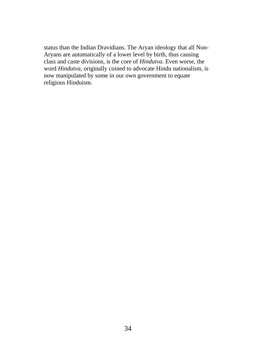status than the Indian Dravidians. The Aryan ideology that all Non-Aryans are automatically of a lower level by birth, thus causing class and caste divisions, is the core of *Hindutva*. Even worse, the word *Hindutva*, originally coined to advocate Hindu nationalism, is now manipulated by some in our own government to equate religious Hinduism.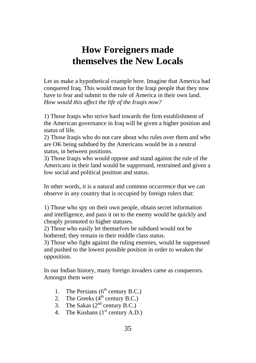## **How Foreigners made themselves the New Locals**

Let us make a hypothetical example here. Imagine that America had conquered Iraq. This would mean for the Iraqi people that they now have to fear and submit to the rule of America in their own land. *How would this affect the life of the Iraqis now?*

1) Those Iraqis who strive hard towards the firm establishment of the American governance in Iraq will be given a higher position and status of life.

2) Those Iraqis who do not care about who rules over them and who are OK being subdued by the Americans would be in a neutral status, in between positions.

3) Those Iraqis who would oppose and stand against the rule of the Americans in their land would be suppressed, restrained and given a low social and political position and status.

In other words, it is a natural and common occurrence that we can observe in any country that is occupied by foreign rulers that:

1) Those who spy on their own people, obtain secret information and intelligence, and pass it on to the enemy would be quickly and cheaply promoted to higher statuses.

2) Those who easily let themselves be subdued would not be bothered; they remain in their middle class status.

3) Those who fight against the ruling enemies, would be suppressed and pushed to the lowest possible position in order to weaken the opposition.

In our Indian history, many foreign invaders came as conquerors. Amongst them were

- 1. The Persians  $(6^{th}$  century B.C.)
- 2. The Greeks  $(4^{th}$  century B.C.)
- 3. The Sakas  $(2^{nd}$  century B.C.)
- 4. The Kushans  $(1<sup>st</sup>$  century A.D.)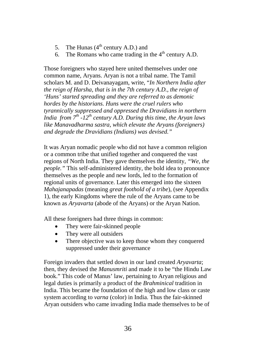- 5. The Hunas  $(4<sup>th</sup>$  century A.D.) and
- 6. The Romans who came trading in the  $4<sup>th</sup>$  century A.D.

Those foreigners who stayed here united themselves under one common name, Aryans. Aryan is not a tribal name. The Tamil scholars M. and D. Deivanayagam, write, "*In Northern India after the reign of Harsha, that is in the 7th century A.D., the reign of 'Huns' started spreading and they are referred to as demonic hordes by the historians. Huns were the cruel rulers who tyrannically suppressed and oppressed the Dravidians in northern India from*  $7<sup>th</sup>$  *-12<sup>th</sup> century A.D. During this time, the Aryan laws like Manavadharma sastra, which elevate the Aryans (foreigners) and degrade the Dravidians (Indians) was devised."*

It was Aryan nomadic people who did not have a common religion or a common tribe that unified together and conquered the vast regions of North India. They gave themselves the identity, *"We, the people."* This self-administered identity, the bold idea to pronounce themselves as the people and new lords, led to the formation of regional units of governance. Later this emerged into the sixteen *Mahajanapadas* (meaning *great foothold of a tribe*), (see Appendix 1), the early Kingdoms where the rule of the Aryans came to be known as *Aryavarta* (abode of the Aryans) or the Aryan Nation.

All these foreigners had three things in common:

- They were fair-skinned people
- They were all outsiders
- There objective was to keep those whom they conquered suppressed under their governance

Foreign invaders that settled down in our land created *Aryavarta*; then, they devised the *Manusmriti* and made it to be "the Hindu Law book." This code of Manus' law, pertaining to Aryan religious and legal duties is primarily a product of the *Brahminical* tradition in India. This became the foundation of the high and low class or caste system according to *varna* (color) in India. Thus the fair-skinned Aryan outsiders who came invading India made themselves to be of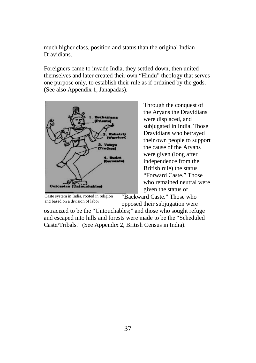much higher class, position and status than the original Indian Dravidians.

Foreigners came to invade India, they settled down, then united themselves and later created their own "Hindu" theology that serves one purpose only, to establish their rule as if ordained by the gods. (See also Appendix 1, Janapadas).



Through the conquest of the Aryans the Dravidians were displaced, and subjugated in India. Those Dravidians who betrayed their own people to support the cause of the Aryans were given (long after independence from the British rule) the status "Forward Caste." Those who remained neutral were given the status of

Caste system in India, rooted in religion and based on a division of labor

"Backward Caste." Those who opposed their subjugation were

ostracized to be the "Untouchables;" and those who sought refuge and escaped into hills and forests were made to be the "Scheduled Caste/Tribals." (See Appendix 2, British Census in India).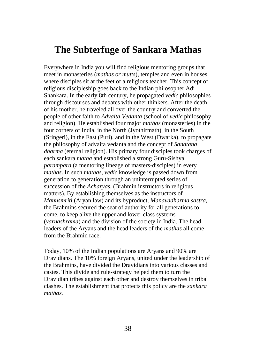## **The Subterfuge of Sankara Mathas**

Everywhere in India you will find religious mentoring groups that meet in monasteries (*mathas or mutts*), temples and even in houses, where disciples sit at the feet of a religious teacher. This concept of religious discipleship goes back to the Indian philosopher Adi Shankara. In the early 8th century, he propagated *vedic* philosophies through discourses and debates with other thinkers. After the death of his mother, he traveled all over the country and converted the people of other faith to *Advaita Vedanta* (school of *vedic* philosophy and religion). He established four major *mathas* (monasteries) in the four corners of India, in the North (Jyothirmath), in the South (Sringeri), in the East (Puri), and in the West (Dwarka), to propagate the philosophy of advaita vedanta and the concept of *Sanatana dharma* (eternal religion). His primary four disciples took charges of each sankara *matha* and established a strong Guru-Sishya *parampara* (a mentoring lineage of masters-disciples) in every *mathas*. In such *mathas*, *vedic* knowledge is passed down from generation to generation through an uninterrupted series of succession of the *Acharyas,* (Brahmin instructors in religious matters). By establishing themselves as the instructors of *Manusmriti* (Aryan law) and its byproduct, *Manavadharma sastra,*  the Brahmins secured the seat of authority for all generations to come, to keep alive the upper and lower class systems (*varnashrama*) and the division of the society in India. The head leaders of the Aryans and the head leaders of the *mathas* all come from the Brahmin race.

Today, 10% of the Indian populations are Aryans and 90% are Dravidians. The 10% foreign Aryans, united under the leadership of the Brahmins, have divided the Dravidians into various classes and castes. This divide and rule-strategy helped them to turn the Dravidian tribes against each other and destroy themselves in tribal clashes. The establishment that protects this policy are the *sankara mathas*.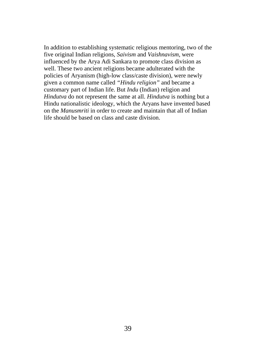In addition to establishing systematic religious mentoring, two of the five original Indian religions, *Saivism* and *Vaishnavism*, were influenced by the Arya Adi Sankara to promote class division as well. These two ancient religions became adulterated with the policies of Aryanism (high-low class/caste division), were newly given a common name called *"Hindu religion"* and became a customary part of Indian life. But *Indu* (Indian) religion and *Hindutva* do not represent the same at all. *Hindutva* is nothing but a Hindu nationalistic ideology, which the Aryans have invented based on the *Manusmriti* in order to create and maintain that all of Indian life should be based on class and caste division.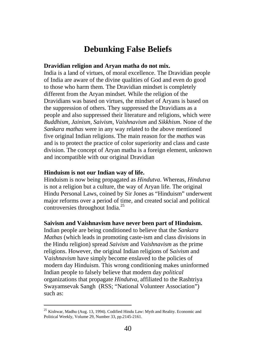## **Debunking False Beliefs**

#### **Dravidian religion and Aryan matha do not mix.**

India is a land of virtues, of moral excellence. The Dravidian people of India are aware of the divine qualities of God and even do good to those who harm them. The Dravidian mindset is completely different from the Aryan mindset. While the religion of the Dravidians was based on virtues, the mindset of Aryans is based on the suppression of others. They suppressed the Dravidians as a people and also suppressed their literature and religions, which were *Buddhism, Jainism, Saivism*, *Vaishnavism* and *Sikkhism*. None of the *Sankara mathas* were in any way related to the above mentioned five original Indian religions. The main reason for the *mathas* was and is to protect the practice of color superiority and class and caste division. The concept of Aryan matha is a foreign element, unknown and incompatible with our original Dravidian

#### **Hinduism is not our Indian way of life.**

Hinduism is now being propagated as *Hindutva*. Whereas, *Hindutva* is not a religion but a culture, the way of Aryan life. The original Hindu Personal Laws, coined by Sir Jones as "Hinduism" underwent major reforms over a period of time, and created social and political controversies throughout India.[25](#page-32-0)

#### **Saivism and Vaishnavism have never been part of Hinduism.**

Indian people are being conditioned to believe that the *Sankara Mathas* (which leads in promoting caste-ism and class divisions in the Hindu religion) spread *Saivism* and *Vaishnavism* as the prime religions. However, the original Indian religions of S*aivism* and V*aishnavism* have simply become enslaved to the policies of modern day Hinduism. This wrong conditioning makes uninformed Indian people to falsely believe that modern day *political* organizations that propagate *Hindutva*, affiliated to the Rashtriya Swayamsevak Sangh (RSS; "National Volunteer Association") such as:

<span id="page-39-0"></span><sup>&</sup>lt;sup>25</sup> Kishwar, Madhu (Aug. 13, 1994). Codified Hindu Law: Myth and Reality. Economic and Political Weekly, Volume 29, Number 33, pp.2145-2161.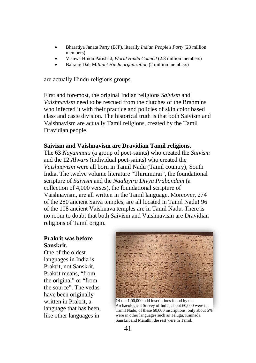- Bharatiya Janata Party (BJP), literally *Indian People's Party* (23 million members)
- Vishwa Hindu Parishad, *World Hindu Council* (2.8 million members)
- Bajrang Dal, M*ilitant Hindu organization* (2 million members)

are actually Hindu-religious groups.

First and foremost, the original Indian religions *Saivism* and *Vaishnavism* need to be rescued from the clutches of the Brahmins who infected it with their practice and policies of skin color based class and caste division. The historical truth is that both Saivism and Vaishnavism are actually Tamil religions, created by the Tamil Dravidian people.

#### **Saivism and Vaishnavism are Dravidian Tamil religions.**

The 63 *Nayanmars* (a group of poet-saints) who created the *Saivism* and the 12 *Alwars* (individual poet-saints) who created the *Vaishnavism* were all born in Tamil Nadu (Tamil country), South India. The twelve volume literature "Thirumurai", the foundational scripture of *Saivism* and the *Naalayira Divya Prabandam* (a collection of 4,000 verses), the foundational scripture of Vaishnavism, are all written in the Tamil language. Moreover, 274 of the 280 ancient Saiva temples, are all located in Tamil Nadu! 96 of the 108 ancient Vaishnava temples are in Tamil Nadu. There is no room to doubt that both Saivism and Vaishnavism are Dravidian religions of Tamil origin.

#### **Prakrit was before Sanskrit.**

One of the oldest languages in India is Prakrit, not Sanskrit. Prakrit means, "from the original" or "from the source". The vedas have been originally written in Prakrit, a language that has been, like other languages in



Of the 1,00,000 odd inscriptions found by the Archaeological Survey of India, about 60,000 were in Tamil Nadu; of these 60,000 inscriptions, only about 5% were in other languages such as Telugu, Kannada, Sanskrit and Marathi; the rest were in Tamil.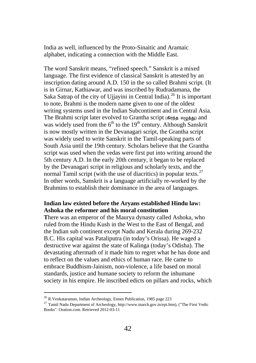India as well, influenced by the Proto-Sinaitic and Aramaic alphabet, indicating a connection with the Middle East.

The word Sanskrit means, "refined speech." Sanskrit is a mixed language. The first evidence of classical Sanskrit is attested by an inscription dating around A.D. 150 in the so called Brahmi script. (It is in Girnar, Kathiawar, and was inscribed by Rudradamana, the Saka Satrap of the city of Ujjayini in Central India).<sup>[26](#page-39-0)</sup> It is important to note, Brahmi is the modern name given to one of the oldest writing systems used in the Indian Subcontinent and in Central Asia. The Brahmi script later evolved to Grantha script (கிரந்த எழுத்து) and was widely used from the  $6<sup>th</sup>$  to the 19<sup>th</sup> century. Although Sanskrit is now mostly written in the Devanagari script, the Grantha script was widely used to write Sanskrit in the Tamil-speaking parts of South Asia until the 19th century. Scholars believe that the Grantha script was used when the vedas were first put into writing around the 5th century A.D. In the early 20th century, it began to be replaced by the Devanagari script in religious and scholarly texts, and the normal Tamil script (with the use of diacritics) in popular texts.<sup>[27](#page-41-0)</sup> In other words, Sanskrit is a language artificially re-worked by the Brahmins to establish their dominance in the area of languages.

### **Indian law existed before the Aryans established Hindu law: Ashoka the reformer and his moral constitution**

**T**here was an emperor of the Maurya dynasty called Ashoka, who ruled from the Hindu Kush in the West to the East of Bengal, and the Indian sub continent except Nadu and Kerala during 269-232 B.C. His capital was Pataliputra (in today's Orissa). He waged a destructive war against the state of Kalinga (today's Odisha). The devastating aftermath of it made him to regret what he has done and to reflect on the values and ethics of human race. He came to embrace Buddhism-Jainism, non-violence, a life based on moral standards, justice and humane society to reform the inhumane society in his empire. He inscribed edicts on pillars and rocks, which

<span id="page-41-0"></span> <sup>26</sup> R.Venkataraman, Indian Archeology, Ennes Publication, 1985 page 223

<span id="page-41-1"></span><sup>&</sup>lt;sup>27</sup> Tamil Nadu Department of Archeology, http://www.tnarch.gov.in/epi.htm), ("The First Vedic Books". Oration.com. Retrieved 2012-03-11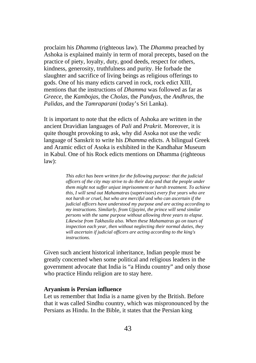proclaim his *Dhamma* (righteous law). The *Dhamma* preached by Ashoka is explained mainly in term of moral precepts, based on the practice of piety, loyalty, duty, good deeds, respect for others, kindness, generosity, truthfulness and purity. He forbade the slaughter and sacrifice of living beings as religious offerings to gods. One of his many edicts carved in rock, rock edict XIII, mentions that the instructions of *Dhamma* was followed as far as *Greece*, the *Kambojas*, the *Cholas*, the *Pandyas*, the *Andhras*, the *Palidas*, and the *Tamraparani* (today's Sri Lanka).

It is important to note that the edicts of Ashoka are written in the ancient Dravidian languages of *Pali* and *Prakrit*. Moreover, it is quite thought provoking to ask, why did Asoka not use the *vedic* language of Sanskrit to write his *Dhamma* edicts. A bilingual Greek and Aramic edict of Asoka is exhibited in the Kandhahar Museum in Kabul. One of his Rock edicts mentions on Dhamma (righteous law):

> *This edict has been written for the following purpose: that the judicial officers of the city may strive to do their duty and that the people under them might not suffer unjust imprisonment or harsh treatment. To achieve this, I will send out Mahamatras* (supervisors) *every five years who are not harsh or cruel, but who are merciful and who can ascertain if the judicial officers have understood my purpose and are acting according to my instructions. Similarly, from Ujjayini, the prince will send similar persons with the same purpose without allowing three years to elapse. Likewise from Takhasila also. When these Mahamatras go on tours of inspection each year, then without neglecting their normal duties, they will ascertain if judicial officers are acting according to the king's instructions.*

Given such ancient historical inheritance, Indian people must be greatly concerned when some political and religious leaders in the government advocate that India is "a Hindu country" and only those who practice Hindu religion are to stay here.

#### **Aryanism is Persian influence**

Let us remember that India is a name given by the British. Before that it was called Sindhu country, which was mispronounced by the Persians as Hindu. In the Bible, it states that the Persian king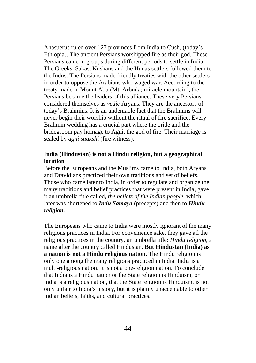Ahasuerus ruled over 127 provinces from India to Cush, (today's Ethiopia). The ancient Persians worshipped fire as their god. These Persians came in groups during different periods to settle in India. The Greeks, Sakas, Kushans and the Hunas settlers followed them to the Indus. The Persians made friendly treaties with the other settlers in order to oppose the Arabians who waged war. According to the treaty made in Mount Abu (Mt. Arbuda; miracle mountain), the Persians became the leaders of this alliance. These very Persians considered themselves as *vedic* Aryans. They are the ancestors of today's Brahmins. It is an undeniable fact that the Brahmins will never begin their worship without the ritual of fire sacrifice. Every Brahmin wedding has a crucial part where the bride and the bridegroom pay homage to Agni, the god of fire. Their marriage is sealed by *agni saakshi* (fire witness).

### **India (Hindustan) is not a Hindu religion, but a geographical location**

Before the Europeans and the Muslims came to India, both Aryans and Dravidians practiced their own traditions and set of beliefs. Those who came later to India, in order to regulate and organize the many traditions and belief practices that were present in India, gave it an umbrella title called, *the beliefs of the Indian people,* which later was shortened to *Indu Samaya* (precepts) and then to *Hindu religion.*

The Europeans who came to India were mostly ignorant of the many religious practices in India. For convenience sake, they gave all the religious practices in the country, an umbrella title: *Hindu religion,* a name after the country called Hindustan. **But Hindustan (India) as a nation is not a Hindu religious nation.** The Hindu religion is only one among the many religions practiced in India. India is a multi-religious nation. It is not a one-religion nation. To conclude that India is a Hindu nation or the State religion is Hinduism, or India is a religious nation, that the State religion is Hinduism, is not only unfair to India's history, but it is plainly unacceptable to other Indian beliefs, faiths, and cultural practices.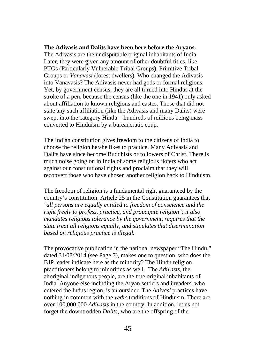#### **The Adivasis and Dalits have been here before the Aryans.**

The Adivasis are the undisputable original inhabitants of India. Later, they were given any amount of other doubtful titles, like PTGs (Particularly Vulnerable Tribal Groups), Primitive Tribal Groups or *Vanavasi* (forest dwellers). Who changed the Adivasis into Vanavasis? The Adivasis never had gods or formal religions. Yet, by government census, they are all turned into Hindus at the stroke of a pen, because the census (like the one in 1941) only asked about affiliation to known religions and castes. Those that did not state any such affiliation (like the Adivasis and many Dalits) were swept into the category Hindu – hundreds of millions being mass converted to Hinduism by a bureaucratic coup.

The Indian constitution gives freedom to the citizens of India to choose the religion he/she likes to practice. Many Adivasis and Dalits have since become Buddhists or followers of Christ. There is much noise going on in India of some religious rioters who act against our constitutional rights and proclaim that they will reconvert those who have chosen another religion back to Hinduism.

The freedom of religion is a fundamental right guaranteed by the country's constitution. Article 25 in the Constitution guarantees that *"all persons are equally entitled to freedom of conscience and the right freely to profess, practice, and propagate religion"; it also mandates religious tolerance by the government, requires that the state treat all religions equally, and stipulates that discrimination based on religious practice is illegal.*

The provocative publication in the national newspaper "The Hindu," dated 31/08/2014 (see Page 7), makes one to question, who does the BJP leader indicate here as the minority? The Hindu religion practitioners belong to minorities as well. The *Adivasis*, the aboriginal indigenous people, are the true original inhabitants of India. Anyone else including the Aryan settlers and invaders, who entered the Indus region, is an outsider. The *Adivasi* practices have nothing in common with the *vedic* traditions of Hinduism. There are over 100,000,000 *Adivasis* in the country. In addition, let us not forget the downtrodden *Dalits*, who are the offspring of the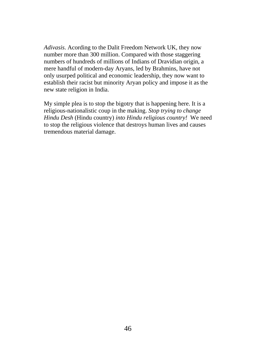*Adivasis*. Acording to the Dalit Freedom Network UK, they now number more than 300 million. Compared with those staggering numbers of hundreds of millions of Indians of Dravidian origin, a mere handful of modern-day Aryans, led by Brahmins, have not only usurped political and economic leadership, they now want to establish their racist but minority Aryan policy and impose it as the new state religion in India.

My simple plea is to stop the bigotry that is happening here. It is a religious-nationalistic coup in the making. *Stop trying to change Hindu Desh* (Hindu country) *into Hindu religious country!* We need to stop the religious violence that destroys human lives and causes tremendous material damage.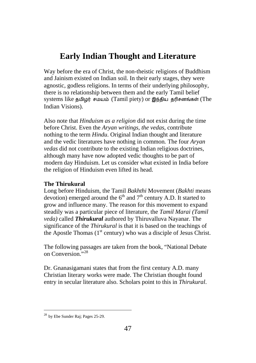## **Early Indian Thought and Literature**

Way before the era of Christ, the non-theistic religions of Buddhism and Jainism existed on Indian soil. In their early stages, they were agnostic, godless religions. In terms of their underlying philosophy, there is no relationship between them and the early Tamil belief systems like தமிழர் சமயம் (Tamil piety) or இந்திய தரிசனங்கள் (The Indian Visions).

Also note that *Hinduism as a religion* did not exist during the time before Christ. Even the *Aryan writings, the vedas*, contribute nothing to the term *Hindu*. Original Indian thought and literature and the vedic literatures have nothing in common*.* The four *Aryan vedas* did not contribute to the existing Indian religious doctrines, although many have now adopted vedic thoughts to be part of modern day Hinduism. Let us consider what existed in India before the religion of Hinduism even lifted its head.

## **The Thirukural**

Long before Hinduism, the Tamil *Bakhthi* Movement (*Bakhti* means devotion) emerged around the  $6<sup>th</sup>$  and  $7<sup>th</sup>$  century A.D. It started to grow and influence many. The reason for this movement to expand steadily was a particular piece of literature, the *Tamil Marai (Tamil veda)* called *Thirukural* authored by Thiruvalluva Nayanar. The significance of the *Thirukural* is that it is based on the teachings of the Apostle Thomas  $(1<sup>st</sup>$  century) who was a disciple of Jesus Christ.

The following passages are taken from the book, "National Debate on Conversion."<sup>[28](#page-41-1)</sup>

Dr. Gnanasigamani states that from the first century A.D. many Christian literary works were made. The Christian thought found entry in secular literature also. Scholars point to this in *Thirukural*.

<span id="page-46-0"></span><sup>&</sup>lt;sup>28</sup> by Ebe Sunder Raj: Pages 25-29.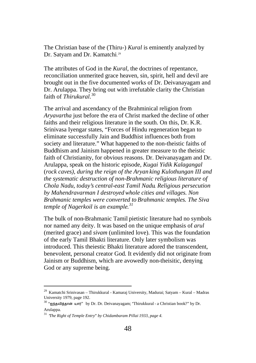The Christian base of the (Thiru-) *Kural* is eminently analyzed by Dr. Satyam and Dr. Kamatchi. [29](#page-46-0)

The attributes of God in the *Kural*, the doctrines of repentance, reconciliation unmerited grace heaven, sin, spirit, hell and devil are brought out in the five documented works of Dr. Deivanayagam and Dr. Arulappa. They bring out with irrefutable clarity the Christian faith of *Thirukural*. [30](#page-47-0)

The arrival and ascendancy of the Brahminical religion from *Aryavartha* just before the era of Christ marked the decline of other faiths and their religious literature in the south. On this, Dr. K.R. Srinivasa Iyengar states, "Forces of Hindu regeneration began to eliminate successfully Jain and Buddhist influences both from society and literature." What happened to the non-theistic faiths of Buddhism and Jainism happened in greater measure to the theistic faith of Christianity, for obvious reasons. Dr. Deivanayagam and Dr. Arulappa, speak on the historic episode, *Kugai Yidik Kalagangal* (*rock caves), during the reign of the Aryan king Kulothungan III and the systematic destruction of non-Brahmanic religious literature of Chola Nadu, today's central-east Tamil Nadu. Religious persecution by Mahendravarman I destroyed whole cities and villages. Non Brahmanic temples were converted to Brahmanic temples. The Siva temple of Nagerkoil is an example. [31](#page-47-0)*

The bulk of non-Brahmanic Tamil pietistic literature had no symbols nor named any deity. It was based on the unique emphasis of *arul* (merited grace) and *sivam* (unlimited love). This was the foundation of the early Tamil Bhakti literature. Only later symbolism was introduced. This theiestic Bhakti literature adored the transcendent, benevolent, personal creator God. It evidently did not originate from Jainism or Buddhism, which are avowedly non-theisitic, denying God or any supreme being.

<span id="page-47-1"></span><span id="page-47-0"></span> $^{29}$  Kamatchi Srinivasan – Thirukkural - Kamaraj University, Madurai; Satyam – Kural – Madras University 1979, page 192.

<sup>&</sup>lt;sup>30</sup> "ஐந்தவித்தான் யார்" by Dr. Dr. Deivanayagam: "Thirukkural - a Christian book?" by Dr. Arulappa.

<sup>31</sup> "*The Right of Temple Entry" by Chidambaram Pillai 1933, page 4.*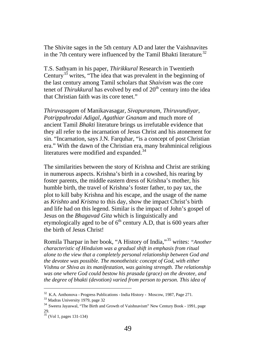The Shivite sages in the 5th century A.D and later the Vaishnavites in the 7th century were influenced by the Tamil Bhakti literature.<sup>[32](#page-47-1)</sup>

T.S. Sathyam in his paper, *Thirikkural* Research in Twentieth Century<sup>[33](#page-48-0)</sup> writes, "The idea that was prevalent in the beginning of the last century among Tamil scholars that *Shaivism* was the core tenet of *Thirukkural* has evolved by end of 20<sup>th</sup> century into the idea that Christian faith was its core tenet."

*Thiruvasagam* of Manikavasagar, *Sivapuranam*, *Thiruvundiyar*, *Potrippahrodai Adigal*, *Agathiar Gnanam* and much more of ancient Tamil *Bhakti* literature brings us irrefutable evidence that they all refer to the incarnation of Jesus Christ and his atonement for sin. "Incarnation, says J.N. Farquenar, "is a concept of post Christian era." With the dawn of the Christian era, many brahminical religious literatures were modified and expanded.<sup>[34](#page-48-0)</sup>

The similarities between the story of Krishna and Christ are striking in numerous aspects. Krishna's birth in a cowshed, his rearing by foster parents, the middle eastern dress of Krishna's mother, his humble birth, the travel of Krishna's foster father, to pay tax, the plot to kill baby Krishna and his escape, and the usage of the name as *Krishto* and *Kristna* to this day, show the impact Christ's birth and life had on this legend. Similar is the impact of John's gospel of Jesus on the *Bhagavad Gita* which is linguistically and etymologically aged to be of  $6<sup>th</sup>$  century A.D, that is 600 years after the birth of Jesus Christ!

Romila Tharpar in her book, "A History of India,"[35](#page-48-0) writes: *"Another characteristic of Hinduism was a gradual shift in emphasis from ritual alone to the view that a completely personal relationship between God and the devotee was possible. The monotheistic concept of God, with either Vishnu or Shiva as its manifestation, was gaining strength. The relationship was one where God could bestow his prasada (grace) on the devotee, and the degree of bhakti (devotion) varied from person to person. This idea of* 

<span id="page-48-0"></span> <sup>32</sup> K.A. Anthonova - Progress Publications - India History - Moscow, 1987, Page 271.

<sup>33</sup> Madras University 1979, page 32

<sup>&</sup>lt;sup>34</sup> Sweera Jayaswal, "The Birth and Growth of Vaishnavism" New Century Book - 1991, page 29.

<span id="page-48-1"></span> $\frac{35}{35}$  (Vol 1, pages 131-134)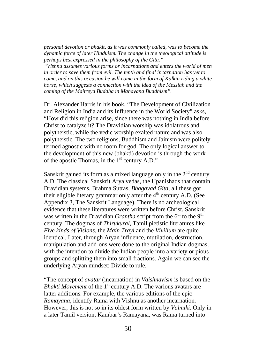*personal devotion or bhakit, as it was commonly called, was to become the dynamic force of later Hinduism. The change in the theological attitude is perhaps best expressed in the philosophy of the Gita."*

*"Vishnu assumes various forms or incarnations and enters the world of men in order to save them from evil. The tenth and final incarnation has yet to come, and on this occasion he will come in the form of Kalkin riding a white horse, which suggests a connection with the idea of the Messiah and the coming of the Maitreya Buddha in Mahayana Buddhism".*

Dr. Alexander Harris in his book, "The Development of Civilization and Religion in India and its Influence in the World Society" asks, "How did this religion arise, since there was nothing in India before Christ to catalyze it? The Dravidian worship was idolatrous and polytheistic, while the vedic worship exalted nature and was also polytheistic. The two religions, Buddhism and Jainism were politely termed agnostic with no room for god. The only logical answer to the development of this new (bhakti) devotion is through the work of the apostle Thomas, in the  $1<sup>st</sup>$  century A.D."

Sanskrit gained its form as a mixed language only in the  $2<sup>nd</sup>$  century A.D. The classical Sanskrit Arya vedas, the Upanishads that contain Dravidian systems, Brahma Sutras, *Bhagavad Gita*, all these got their eligible literary grammar only after the  $4<sup>th</sup>$  century A.D. (See Appendix 3, The Sanskrit Language). There is no archeological evidence that these literatures were written before Christ. Sanskrit was written in the Dravidian *Grantha* script from the 6<sup>th</sup> to the 9<sup>th</sup> century. The dogmas of *Thirukural*, Tamil pietistic literatures like *Five kinds of Visions*, the *Main Trayi* and the *Vivilium* are quite identical. Later, through Aryan influence, mutilation, destruction, manipulation and add-ons were done to the original Indian dogmas, with the intention to divide the Indian people into a variety or pious groups and splitting them into small fractions. Again we can see the underlying Aryan mindset: Divide to rule.

"The concept of *avatar* (incarnation) in *Vaishnavism* is based on the *Bhakti Movement* of the 1<sup>st</sup> century A.D. The various avatars are latter additions. For example, the various editions of the epic *Ramayana*, identify Rama with Vishnu as another incarnation. However, this is not so in its oldest form written by *Valmiki.* Only in a later Tamil version, Kambar's Ramayana, was Rama turned into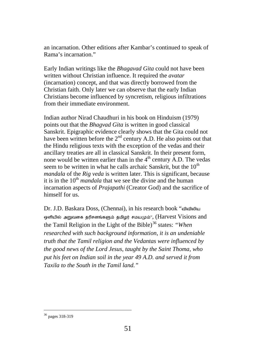an incarnation. Other editions after Kambar's continued to speak of Rama's incarnation."

Early Indian writings like the *Bhagavad Gita* could not have been written without Christian influence. It required the *avatar* (incarnation) concept, and that was directly borrowed from the Christian faith. Only later we can observe that the early Indian Christians become influenced by syncretism, religious infiltrations from their immediate environment.

Indian author Nirad Chaudhuri in his book on Hinduism (1979) points out that the *Bhagvad Gita* is written in good classical Sanskrit. Epigraphic evidence clearly shows that the Gita could not have been written before the  $2<sup>nd</sup>$  century A.D. He also points out that the Hindu religious texts with the exception of the vedas and their ancillary treaties are all in classical Sanskrit. In their present form, none would be written earlier than in the  $4<sup>th</sup>$  century A.D. The vedas seem to be written in what he calls archaic Sanskrit, but the  $10<sup>th</sup>$ *mandala* of the *Rig veda* is written later. This is significant, because it is in the  $10<sup>th</sup>$  *mandala* that we see the divine and the human incarnation aspects of *Prajapathi* (Creator God) and the sacrifice of himself for us.

Dr. J.D. Baskara Doss, (Chennai), in his research book "வ�வ�லிய ஒளியில் அறுவகை தரிசனங்களும் தமிழர் சமயமும்",  $(Harvest \, Visions \, and \,$ the Tamil Religion in the Light of the Bible) [36](#page-48-1) states: *"When researched with such background information, it is an undeniable truth that the Tamil religion and the Vedantas were influenced by the good news of the Lord Jesus, taught by the Saint Thoma, who put his feet on Indian soil in the year 49 A.D. and served it from Taxila to the South in the Tamil land."* 

<span id="page-50-0"></span> <sup>36</sup> pages 318-319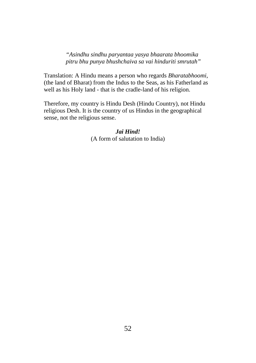*"Asindhu sindhu paryantaa yasya bhaarata bhoomika pitru bhu punya bhushchaiva sa vai hinduriti smrutah"*

Translation: A Hindu means a person who regards *Bharatabhoomi*, (the land of Bharat) from the Indus to the Seas, as his Fatherland as well as his Holy land - that is the cradle-land of his religion.

Therefore, my country is Hindu Desh (Hindu Country), not Hindu religious Desh. It is the country of us Hindus in the geographical sense, not the religious sense.

> *Jai Hind!* (A form of salutation to India)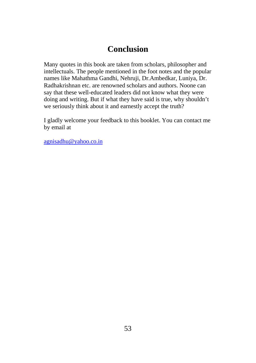## **Conclusion**

Many quotes in this book are taken from scholars, philosopher and intellectuals. The people mentioned in the foot notes and the popular names like Mahathma Gandhi, Nehruji, Dr.Ambedkar, Luniya, Dr. Radhakrishnan etc. are renowned scholars and authors. Noone can say that these well-educated leaders did not know what they were doing and writing. But if what they have said is true, why shouldn't we seriously think about it and earnestly accept the truth?

I gladly welcome your feedback to this booklet. You can contact me by email at

[agnisadhu@yahoo.co.in](mailto:agnisadhu@yahoo.co.in)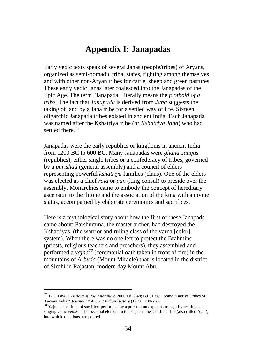## **Appendix I: Janapadas**

Early vedic texts speak of several Janas (people/tribes) of Aryans, organized as semi-nomadic tribal states, fighting among themselves and with other non-Aryan tribes for cattle, sheep and green pastures. These early vedic Janas later coalesced into the Janapadas of the Epic Age. The term "Janapada" literally means the *foothold of a tribe.* The fact that *Janapada* is derived from *Jana* suggests the taking of land by a Jana tribe for a settled way of life. Sixteen oligarchic Janapada tribes existed in ancient India. Each Janapada was named after the Kshatriya tribe (or *Kshatriya Jana*) who had settled there.<sup>[37](#page-50-0)</sup>

Janapadas were the early republics or kingdoms in ancient India from 1200 BC to 600 BC. Many Janapadas were *ghana-sangas* (republics)*,* either single tribes or a confederacy of tribes, governed by a *parishad* (general assembly) and a council of elders representing powerful *kshatriya* families (clans). One of the elders was elected as a chief *raja* or *pan* (king consul) to preside over the assembly. Monarchies came to embody the concept of hereditary ascension to the throne and the association of the king with a divine status, accompanied by elaborate ceremonies and sacrifices.

Here is a mythological story about how the first of these Janapads came about: Parshurama, the master archer, had destroyed the Kshatriyas, (the warrior and ruling class of the varna [color] system). When there was no one left to protect the Brahmins (priests, religious teachers and preachers), they assembled and performed a *yajna[38](#page-53-0)* (ceremonial oath taken in front of fire) in the mountains of *Arbuda* (Mount Miracle) that is located in the district of Sirohi in Rajastan, modern day Mount Abu.

<span id="page-53-0"></span> <sup>37</sup> B.C. Law. *A History of Pāli Literature.* 2000 Ed., 648; B.C. Law, "Some Ksatriya Tribes of Ancient India." *Journal Of Ancient Indian History* (1924): 230-253.

<span id="page-53-1"></span><sup>&</sup>lt;sup>38</sup> Yaina is the ritual of sacrifice, performed by a priest or an expert astrologer by reciting or singing vedic verses. The essential element in the Yajna is the sacrificial fire (also called Agni), into which oblations are poured.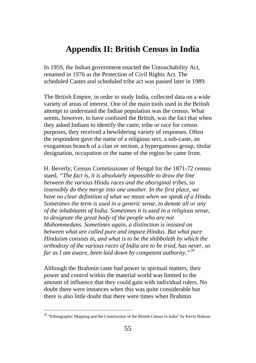## **Appendix II: British Census in India**

In 1959, the Indian government enacted the Untouchability Act, renamed in 1976 as the Protection of Civil Rights Act. The scheduled Castes and scheduled tribe act was passed later in 1989.

The British Empire, in order to study India, collected data on a wide variety of areas of interest. One of the main tools used in the British attempt to understand the Indian population was the census. What seems, however, to have confused the British, was the fact that when they asked Indians to identify the caste, tribe or race for census purposes, they received a bewildering variety of responses. Often the respondent gave the name of a religious sect, a sub-caste, an exogamous branch of a clan or section, a hypergamous group, titular designation, occupation or the name of the region he came from.

H. Beverly, Census Commissioner of Bengal for the 1871-72 census staed, *"The fact is, it is absolutely impossible to draw the line between the various Hindu races and the aboriginal tribes, so insensibly do they merge into one another. In the first place, we have no clear definition of what we mean when we speak of a Hindu. Sometimes the term is used in a generic sense, to denote all or any of the inhabitants of India. Sometimes it is used in a religious sense, to designate the great body of the people who are not Mahommedans. Sometimes again, a distinction is insisted on between what are called pure and impure Hindus. But what pure Hinduism consists in, and what is to be the shibboleth by which the orthodoxy of the various races of India are to be tried, has never, so far as I am aware, been laid down by competent authority."[39](#page-53-1)*

Although the Brahmin caste had power in spiritual matters, their power and control within the material world was limited to the amount of influence that they could gain with individual rulers. No doubt there were instances when this was quite considerable but there is also little doubt that there were times when Brahmin

<span id="page-54-0"></span><sup>&</sup>lt;sup>39</sup> "Ethnographic Mapping and the Construction of the British Census in India" by Kevin Hobson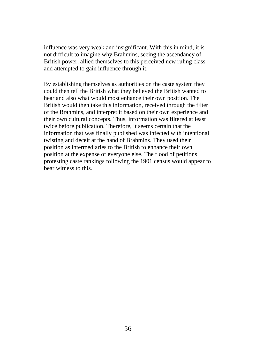influence was very weak and insignificant. With this in mind, it is not difficult to imagine why Brahmins, seeing the ascendancy of British power, allied themselves to this perceived new ruling class and attempted to gain influence through it.

By establishing themselves as authorities on the caste system they could then tell the British what they believed the British wanted to hear and also what would most enhance their own position. The British would then take this information, received through the filter of the Brahmins, and interpret it based on their own experience and their own cultural concepts. Thus, information was filtered at least twice before publication. Therefore, it seems certain that the information that was finally published was infected with intentional twisting and deceit at the hand of Brahmins. They used their position as intermediaries to the British to enhance their own position at the expense of everyone else. The flood of petitions protesting caste rankings following the 1901 census would appear to bear witness to this.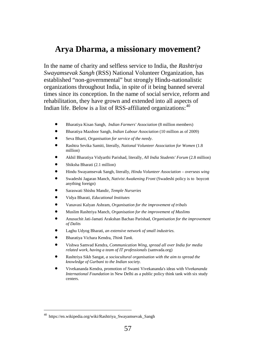## **Arya Dharma, a missionary movement?**

In the name of charity and selfless service to India, the *Rashtriya Swayamsevak Sangh* (RSS) National Volunteer Organization, has established "non-governmental" but strongly Hindu-nationalistic organizations throughout India, in spite of it being banned several times since its conception. In the name of social service, reform and rehabilitation, they have grown and extended into all aspects of Indian life. Below is a list of RSS-affiliated organizations:  $40$ 

- Bharatiya Kisan Sangh, *Indian Farmers' Association* (8 million members)
- Bharatiya Mazdoor Sangh, *Indian Labour Association* (10 million as of 2009)
- Seva Bharti, *Organisation for service of the needy*.
- Rashtra Sevika Samiti, literally, *National Volunteer Association for Women* (1.8 million)
- Akhil Bharatiya Vidyarthi Parishad, literally, *All India Students' Forum* (2.8 million)
- Shiksha Bharati (2.1 million)
- Hindu Swayamsevak Sangh, literally, *Hindu Volunteer Association – overseas wing*
- Swadeshi Jagaran Manch, *Nativist Awakening Front* (Swadeshi policy is to boycott anything foreign)
- Saraswati Shishu Mandir, *Temple Nurseries*
- Vidya Bharati, *Educational Institutes*
- Vanavasi Kalyan Ashram, *Organisation for the improvement of tribals*
- Muslim Rashtriya Manch, *Organisation for the improvement of Muslims*
- Anusuchit Jati-Jamati Arakshan Bachao Parishad, *Organisation for the improvement of Dalits*
- Laghu Udyog Bharati, *an extensive network of small industries.*
- Bharatiya Vichara Kendra, *Think Tank*.
- Vishwa Samvad Kendra, *Communication Wing, spread all over India for media related work, having a team of IT professionals* (samvada.org)
- Rashtriya Sikh Sangat, *a sociocultural organisation with the aim to spread the knowledge of Gurbani to the Indian society.*
- Vivekananda Kendra, promotion of Swami Vivekananda's ideas with *Vivekananda International Foundation* in New Delhi as a public policy think tank with six study centers.

<sup>&</sup>lt;sup>40</sup> https://en.wikipedia.org/wiki/Rashtriya Swayamsevak Sangh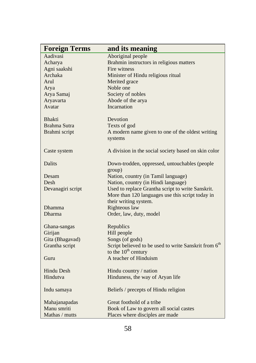| <b>Foreign Terms</b> | and its meaning                                                                                       |
|----------------------|-------------------------------------------------------------------------------------------------------|
| Aadivasi             | Aboriginal people                                                                                     |
| Acharya              | Brahmin instructors in religious matters                                                              |
| Agni saakshi         | Fire witness                                                                                          |
| Archaka              | Minister of Hindu religious ritual                                                                    |
| Arul                 | Merited grace                                                                                         |
| Arya                 | Noble one                                                                                             |
| Arya Samaj           | Society of nobles                                                                                     |
| Aryavarta            | Abode of the arya                                                                                     |
| Avatar               | <b>Incarnation</b>                                                                                    |
| <b>Bhakti</b>        | Devotion                                                                                              |
| Brahma Sutra         | Texts of god                                                                                          |
| Brahmi script        | A modern name given to one of the oldest writing<br>systems                                           |
| Caste system         | A division in the social society based on skin color                                                  |
| <b>Dalits</b>        | Down-trodden, oppressed, untouchables (people)                                                        |
|                      | group)                                                                                                |
| Desam                | Nation, country (in Tamil language)                                                                   |
| Desh                 | Nation, country (in Hindi language)                                                                   |
| Devanagiri script    | Used to replace Grantha script to write Sanskrit.<br>More than 120 languages use this script today in |
|                      | their writing system.                                                                                 |
| Dhamma               | Righteous law                                                                                         |
| Dharma               | Order, law, duty, model                                                                               |
| Ghana-sangas         | Republics                                                                                             |
| Girijan              | Hill people                                                                                           |
| Gita (Bhagavad)      | Songs (of gods)                                                                                       |
| Grantha script       | Script believed to be used to write Sanskrit from 6 <sup>th</sup>                                     |
|                      | to the $10^{th}$ century                                                                              |
| Guru                 | A teacher of Hinduism                                                                                 |
| <b>Hindu Desh</b>    | Hindu country / nation                                                                                |
| Hindutva             | Hinduness, the way of Aryan life                                                                      |
| Indu samaya          | Beliefs / precepts of Hindu religion                                                                  |
| Mahajanapadas        | Great foothold of a tribe                                                                             |
| Manu smriti          | Book of Law to govern all social castes                                                               |
| Mathas / mutts       | Places where disciples are made                                                                       |